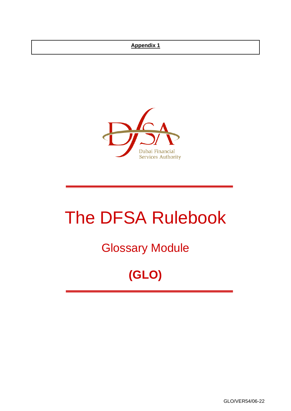#### **Appendix 1**



# The DFSA Rulebook

## Glossary Module

## **(GLO)**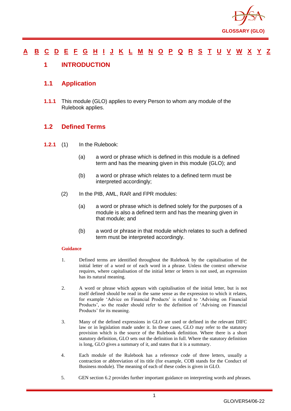

#### [A](#page-2-0) [B](#page-7-0) [C](#page-9-0) [D](#page-19-0) [E](#page-24-0) [F](#page-26-0) [G](#page-29-0) [H](#page-33-0) [I](#page-34-0) [J](#page-39-0) [K](#page-39-1) [L](#page-40-0) [M](#page-43-0) [N](#page-47-0) [O](#page-49-0) [P](#page-51-0) [Q](#page-57-0) [R](#page-58-0) [S](#page-63-0) [T](#page-68-0) [U](#page-70-0) [V](#page-71-0) [W](#page-72-0) [X](#page-73-0) [Y](#page-74-0) [Z](#page-75-0)

#### <span id="page-1-0"></span>**1 INTRODUCTION**

#### **1.1 Application**

**1.1.1** This module (GLO) applies to every Person to whom any module of the Rulebook applies.

#### **1.2 Defined Terms**

- **1.2.1** (1) In the Rulebook:
	- (a) a word or phrase which is defined in this module is a defined term and has the meaning given in this module (GLO); and
	- (b) a word or phrase which relates to a defined term must be interpreted accordingly;
	- (2) In the PIB, AML, RAR and FPR modules:
		- (a) a word or phrase which is defined solely for the purposes of a module is also a defined term and has the meaning given in that module; and
		- (b) a word or phrase in that module which relates to such a defined term must be interpreted accordingly.

#### **Guidance**

- 1. Defined terms are identified throughout the Rulebook by the capitalisation of the initial letter of a word or of each word in a phrase. Unless the context otherwise requires, where capitalisation of the initial letter or letters is not used, an expression has its natural meaning.
- 2. A word or phrase which appears with capitalisation of the initial letter, but is not itself defined should be read in the same sense as the expression to which it relates, for example 'Advice on Financial Products' is related to 'Advising on Financial Products', so the reader should refer to the definition of 'Advising on Financial Products' for its meaning.
- 3. Many of the defined expressions in GLO are used or defined in the relevant DIFC law or in legislation made under it. In these cases, GLO may refer to the statutory provision which is the source of the Rulebook definition. Where there is a short statutory definition, GLO sets out the definition in full. Where the statutory definition is long, GLO gives a summary of it, and states that it is a summary.
- 4. Each module of the Rulebook has a reference code of three letters, usually a contraction or abbreviation of its title (for example, COB stands for the Conduct of Business module). The meaning of each of these codes is given in GLO.
- 5. GEN section 6.2 provides further important guidance on interpreting words and phrases.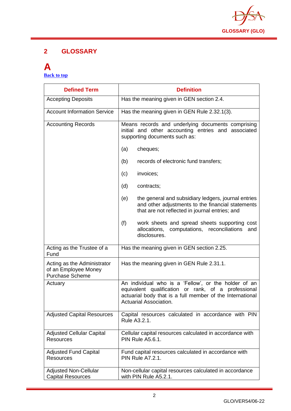

#### **2 GLOSSARY**

#### <span id="page-2-0"></span>**A [Back to top](#page-1-0)**

| <b>Defined Term</b>                                                           | <b>Definition</b>                                                                                                                                                                                  |
|-------------------------------------------------------------------------------|----------------------------------------------------------------------------------------------------------------------------------------------------------------------------------------------------|
| <b>Accepting Deposits</b>                                                     | Has the meaning given in GEN section 2.4.                                                                                                                                                          |
| <b>Account Information Service</b>                                            | Has the meaning given in GEN Rule 2.32.1(3).                                                                                                                                                       |
| <b>Accounting Records</b>                                                     | Means records and underlying documents comprising<br>initial and other accounting entries and associated<br>supporting documents such as:                                                          |
|                                                                               | (a)<br>cheques;                                                                                                                                                                                    |
|                                                                               | (b)<br>records of electronic fund transfers;                                                                                                                                                       |
|                                                                               | invoices;<br>(c)                                                                                                                                                                                   |
|                                                                               | (d)<br>contracts;                                                                                                                                                                                  |
|                                                                               | the general and subsidiary ledgers, journal entries<br>(e)<br>and other adjustments to the financial statements<br>that are not reflected in journal entries; and                                  |
|                                                                               | (f)<br>work sheets and spread sheets supporting cost<br>allocations, computations, reconciliations<br>and<br>disclosures.                                                                          |
| Acting as the Trustee of a<br>Fund                                            | Has the meaning given in GEN section 2.25.                                                                                                                                                         |
| Acting as the Administrator<br>of an Employee Money<br><b>Purchase Scheme</b> | Has the meaning given in GEN Rule 2.31.1.                                                                                                                                                          |
| Actuary                                                                       | An individual who is a 'Fellow', or the holder of an<br>equivalent qualification or rank, of a professional<br>actuarial body that is a full member of the International<br>Actuarial Association. |
| <b>Adjusted Capital Resources</b>                                             | Capital resources calculated in accordance with PIN<br>Rule A3.2.1.                                                                                                                                |
| <b>Adjusted Cellular Capital</b><br><b>Resources</b>                          | Cellular capital resources calculated in accordance with<br><b>PIN Rule A5.6.1.</b>                                                                                                                |
| <b>Adjusted Fund Capital</b><br><b>Resources</b>                              | Fund capital resources calculated in accordance with<br><b>PIN Rule A7.2.1.</b>                                                                                                                    |
| <b>Adjusted Non-Cellular</b><br><b>Capital Resources</b>                      | Non-cellular capital resources calculated in accordance<br>with PIN Rule A5.2.1.                                                                                                                   |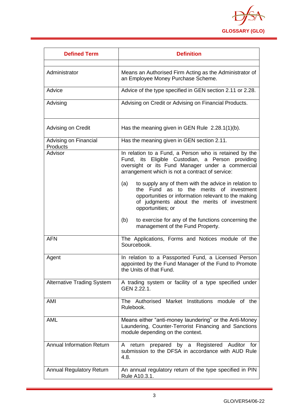

| <b>Defined Term</b>                      | <b>Definition</b>                                                                                                                                                                                                                 |
|------------------------------------------|-----------------------------------------------------------------------------------------------------------------------------------------------------------------------------------------------------------------------------------|
| Administrator                            | Means an Authorised Firm Acting as the Administrator of<br>an Employee Money Purchase Scheme.                                                                                                                                     |
| Advice                                   | Advice of the type specified in GEN section 2.11 or 2.28.                                                                                                                                                                         |
| Advising                                 | Advising on Credit or Advising on Financial Products.                                                                                                                                                                             |
| Advising on Credit                       | Has the meaning given in GEN Rule $2.28.1(1)(b)$ .                                                                                                                                                                                |
| Advising on Financial<br><b>Products</b> | Has the meaning given in GEN section 2.11.                                                                                                                                                                                        |
| Advisor                                  | In relation to a Fund, a Person who is retained by the<br>Fund, its Eligible Custodian, a Person providing<br>oversight or its Fund Manager under a commercial<br>arrangement which is not a contract of service:                 |
|                                          | to supply any of them with the advice in relation to<br>(a)<br>the Fund as to the merits of investment<br>opportunities or information relevant to the making<br>of judgments about the merits of investment<br>opportunities; or |
|                                          | (b)<br>to exercise for any of the functions concerning the<br>management of the Fund Property.                                                                                                                                    |
| <b>AFN</b>                               | The Applications, Forms and Notices module of the<br>Sourcebook.                                                                                                                                                                  |
| Agent                                    | In relation to a Passported Fund, a Licensed Person<br>appointed by the Fund Manager of the Fund to Promote<br>the Units of that Fund.                                                                                            |
| <b>Alternative Trading System</b>        | A trading system or facility of a type specified under<br>GEN 2.22.1.                                                                                                                                                             |
| AMI                                      | The Authorised Market Institutions module of the<br>Rulebook.                                                                                                                                                                     |
| <b>AML</b>                               | Means either "anti-money laundering" or the Anti-Money<br>Laundering, Counter-Terrorist Financing and Sanctions<br>module depending on the context.                                                                               |
| <b>Annual Information Return</b>         | prepared by a Registered Auditor for<br>A<br>return<br>submission to the DFSA in accordance with AUD Rule<br>4.8.                                                                                                                 |
| <b>Annual Regulatory Return</b>          | An annual regulatory return of the type specified in PIN<br>Rule A10.3.1.                                                                                                                                                         |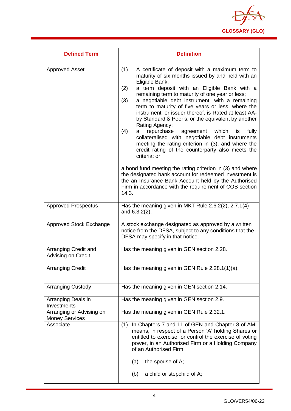

| <b>Defined Term</b>                               | <b>Definition</b>                                                                                                                                                                                                                                                                                                                                                                                                                                                                                                                                                                                                                                                                                                                                                                                                                                                                                                                                                            |
|---------------------------------------------------|------------------------------------------------------------------------------------------------------------------------------------------------------------------------------------------------------------------------------------------------------------------------------------------------------------------------------------------------------------------------------------------------------------------------------------------------------------------------------------------------------------------------------------------------------------------------------------------------------------------------------------------------------------------------------------------------------------------------------------------------------------------------------------------------------------------------------------------------------------------------------------------------------------------------------------------------------------------------------|
| <b>Approved Asset</b>                             | A certificate of deposit with a maximum term to<br>(1)<br>maturity of six months issued by and held with an<br>Eligible Bank;<br>a term deposit with an Eligible Bank with a<br>(2)<br>remaining term to maturity of one year or less;<br>(3)<br>a negotiable debt instrument, with a remaining<br>term to maturity of five years or less, where the<br>instrument, or issuer thereof, is Rated at least AA-<br>by Standard & Poor's, or the equivalent by another<br>Rating Agency;<br>(4)<br>repurchase<br>agreement which is<br>fully<br>а<br>collateralised with negotiable debt instruments<br>meeting the rating criterion in (3), and where the<br>credit rating of the counterparty also meets the<br>criteria; or<br>a bond fund meeting the rating criterion in (3) and where<br>the designated bank account for redeemed investment is<br>the an Insurance Bank Account held by the Authorised<br>Firm in accordance with the requirement of COB section<br>14.3. |
| <b>Approved Prospectus</b>                        | Has the meaning given in MKT Rule 2.6.2(2), 2.7.1(4)<br>and $6.3.2(2)$ .                                                                                                                                                                                                                                                                                                                                                                                                                                                                                                                                                                                                                                                                                                                                                                                                                                                                                                     |
| Approved Stock Exchange                           | A stock exchange designated as approved by a written<br>notice from the DFSA, subject to any conditions that the<br>DFSA may specify in that notice.                                                                                                                                                                                                                                                                                                                                                                                                                                                                                                                                                                                                                                                                                                                                                                                                                         |
| Arranging Credit and<br>Advising on Credit        | Has the meaning given in GEN section 2.28.                                                                                                                                                                                                                                                                                                                                                                                                                                                                                                                                                                                                                                                                                                                                                                                                                                                                                                                                   |
| <b>Arranging Credit</b>                           | Has the meaning given in GEN Rule 2.28.1(1)(a).                                                                                                                                                                                                                                                                                                                                                                                                                                                                                                                                                                                                                                                                                                                                                                                                                                                                                                                              |
| <b>Arranging Custody</b>                          | Has the meaning given in GEN section 2.14.                                                                                                                                                                                                                                                                                                                                                                                                                                                                                                                                                                                                                                                                                                                                                                                                                                                                                                                                   |
| Arranging Deals in<br>Investments                 | Has the meaning given in GEN section 2.9.                                                                                                                                                                                                                                                                                                                                                                                                                                                                                                                                                                                                                                                                                                                                                                                                                                                                                                                                    |
| Arranging or Advising on<br><b>Money Services</b> | Has the meaning given in GEN Rule 2.32.1.                                                                                                                                                                                                                                                                                                                                                                                                                                                                                                                                                                                                                                                                                                                                                                                                                                                                                                                                    |
| Associate                                         | In Chapters 7 and 11 of GEN and Chapter 8 of AMI<br>(1)<br>means, in respect of a Person 'A' holding Shares or<br>entitled to exercise, or control the exercise of voting<br>power, in an Authorised Firm or a Holding Company<br>of an Authorised Firm:<br>the spouse of A;<br>(a)<br>a child or stepchild of A;<br>(b)                                                                                                                                                                                                                                                                                                                                                                                                                                                                                                                                                                                                                                                     |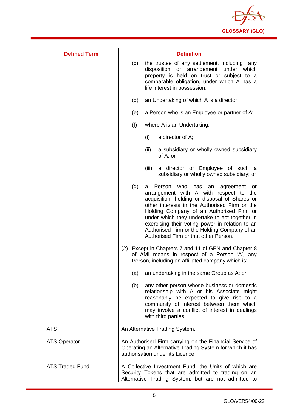

| <b>Defined Term</b>    | <b>Definition</b>                                                                                                                                                                                                                                                                                                                                                                                                                             |
|------------------------|-----------------------------------------------------------------------------------------------------------------------------------------------------------------------------------------------------------------------------------------------------------------------------------------------------------------------------------------------------------------------------------------------------------------------------------------------|
|                        | (c)<br>the trustee of any settlement, including any<br>disposition or arrangement under which<br>property is held on trust or subject to a<br>comparable obligation, under which A has a<br>life interest in possession;                                                                                                                                                                                                                      |
|                        | (d)<br>an Undertaking of which A is a director;                                                                                                                                                                                                                                                                                                                                                                                               |
|                        | a Person who is an Employee or partner of A;<br>(e)                                                                                                                                                                                                                                                                                                                                                                                           |
|                        | (f)<br>where A is an Undertaking:                                                                                                                                                                                                                                                                                                                                                                                                             |
|                        | (i)<br>a director of A;                                                                                                                                                                                                                                                                                                                                                                                                                       |
|                        | (ii)<br>a subsidiary or wholly owned subsidiary<br>of A; or                                                                                                                                                                                                                                                                                                                                                                                   |
|                        | (iii)<br>a director or Employee of such a<br>subsidiary or wholly owned subsidiary; or                                                                                                                                                                                                                                                                                                                                                        |
|                        | (g)<br>Person who<br>has<br>an<br>agreement<br>a<br>or -<br>arrangement with A with respect to the<br>acquisition, holding or disposal of Shares or<br>other interests in the Authorised Firm or the<br>Holding Company of an Authorised Firm or<br>under which they undertake to act together in<br>exercising their voting power in relation to an<br>Authorised Firm or the Holding Company of an<br>Authorised Firm or that other Person. |
|                        | Except in Chapters 7 and 11 of GEN and Chapter 8<br>(2)<br>of AMI means in respect of a Person 'A', any<br>Person, including an affiliated company which is:                                                                                                                                                                                                                                                                                  |
|                        | an undertaking in the same Group as A; or<br>(a)                                                                                                                                                                                                                                                                                                                                                                                              |
|                        | (b)<br>any other person whose business or domestic<br>relationship with A or his Associate might<br>reasonably be expected to give rise to a<br>community of interest between them which<br>may involve a conflict of interest in dealings<br>with third parties.                                                                                                                                                                             |
| <b>ATS</b>             | An Alternative Trading System.                                                                                                                                                                                                                                                                                                                                                                                                                |
| <b>ATS Operator</b>    | An Authorised Firm carrying on the Financial Service of<br>Operating an Alternative Trading System for which it has<br>authorisation under its Licence.                                                                                                                                                                                                                                                                                       |
| <b>ATS Traded Fund</b> | A Collective Investment Fund, the Units of which are<br>Security Tokens that are admitted to trading on an<br>Alternative Trading System, but are not admitted to                                                                                                                                                                                                                                                                             |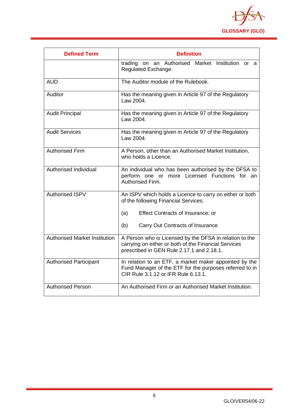

| <b>Defined Term</b>                  | <b>Definition</b>                                                                                                                                            |
|--------------------------------------|--------------------------------------------------------------------------------------------------------------------------------------------------------------|
|                                      | trading on an Authorised Market<br>Institution or a<br>Regulated Exchange.                                                                                   |
| <b>AUD</b>                           | The Auditor module of the Rulebook.                                                                                                                          |
| Auditor                              | Has the meaning given in Article 97 of the Regulatory<br>Law 2004.                                                                                           |
| <b>Audit Principal</b>               | Has the meaning given in Article 97 of the Regulatory<br>Law 2004.                                                                                           |
| <b>Audit Services</b>                | Has the meaning given in Article 97 of the Regulatory<br>Law 2004.                                                                                           |
| Authorised Firm                      | A Person, other than an Authorised Market Institution,<br>who holds a Licence.                                                                               |
| Authorised Individual                | An individual who has been authorised by the DFSA to<br>perform one or more Licensed Functions for an<br>Authorised Firm.                                    |
| <b>Authorised ISPV</b>               | An ISPV which holds a Licence to carry on either or both<br>of the following Financial Services:                                                             |
|                                      | Effect Contracts of Insurance; or<br>(a)                                                                                                                     |
|                                      | Carry Out Contracts of Insurance<br>(b)                                                                                                                      |
| <b>Authorised Market Institution</b> | A Person who is Licensed by the DFSA in relation to the<br>carrying on either or both of the Financial Services<br>prescribed in GEN Rule 2.17.1 and 2.18.1. |
| <b>Authorised Participant</b>        | In relation to an ETF, a market maker appointed by the<br>Fund Manager of the ETF for the purposes referred to in<br>CIR Rule 3.1.12 or IFR Rule 6.13.1.     |
| <b>Authorised Person</b>             | An Authorised Firm or an Authorised Market Institution.                                                                                                      |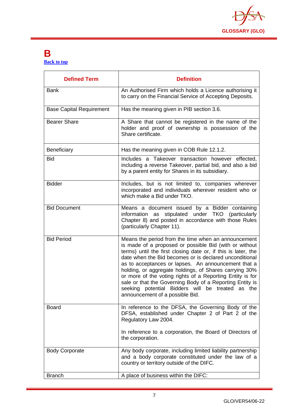

#### <span id="page-7-0"></span>**B [Back to top](#page-1-0)**

| <b>Defined Term</b>             | <b>Definition</b>                                                                                                                                                                                                                                                                                                                                                                                                                                                                                                                                                         |
|---------------------------------|---------------------------------------------------------------------------------------------------------------------------------------------------------------------------------------------------------------------------------------------------------------------------------------------------------------------------------------------------------------------------------------------------------------------------------------------------------------------------------------------------------------------------------------------------------------------------|
| <b>Bank</b>                     | An Authorised Firm which holds a Licence authorising it<br>to carry on the Financial Service of Accepting Deposits.                                                                                                                                                                                                                                                                                                                                                                                                                                                       |
| <b>Base Capital Requirement</b> | Has the meaning given in PIB section 3.6.                                                                                                                                                                                                                                                                                                                                                                                                                                                                                                                                 |
| <b>Bearer Share</b>             | A Share that cannot be registered in the name of the<br>holder and proof of ownership is possession of the<br>Share certificate.                                                                                                                                                                                                                                                                                                                                                                                                                                          |
| Beneficiary                     | Has the meaning given in COB Rule 12.1.2.                                                                                                                                                                                                                                                                                                                                                                                                                                                                                                                                 |
| <b>Bid</b>                      | Includes a Takeover transaction however effected,<br>including a reverse Takeover, partial bid, and also a bid<br>by a parent entity for Shares in its subsidiary.                                                                                                                                                                                                                                                                                                                                                                                                        |
| <b>Bidder</b>                   | Includes, but is not limited to, companies wherever<br>incorporated and individuals wherever resident who or<br>which make a Bid under TKO.                                                                                                                                                                                                                                                                                                                                                                                                                               |
| <b>Bid Document</b>             | Means a document issued by a Bidder containing<br>stipulated under TKO (particularly<br>information as<br>Chapter 8) and posted in accordance with those Rules<br>(particularly Chapter 11).                                                                                                                                                                                                                                                                                                                                                                              |
| <b>Bid Period</b>               | Means the period from the time when an announcement<br>is made of a proposed or possible Bid (with or without<br>terms) until the first closing date or, if this is later, the<br>date when the Bid becomes or is declared unconditional<br>as to acceptances or lapses. An announcement that a<br>holding, or aggregate holdings, of Shares carrying 30%<br>or more of the voting rights of a Reporting Entity is for<br>sale or that the Governing Body of a Reporting Entity is<br>seeking potential Bidders will be treated as the<br>announcement of a possible Bid. |
| <b>Board</b>                    | In reference to the DFSA, the Governing Body of the<br>DFSA, established under Chapter 2 of Part 2 of the<br>Regulatory Law 2004.<br>In reference to a corporation, the Board of Directors of<br>the corporation.                                                                                                                                                                                                                                                                                                                                                         |
| <b>Body Corporate</b>           | Any body corporate, including limited liability partnership<br>and a body corporate constituted under the law of a<br>country or territory outside of the DIFC.                                                                                                                                                                                                                                                                                                                                                                                                           |
| <b>Branch</b>                   | A place of business within the DIFC:                                                                                                                                                                                                                                                                                                                                                                                                                                                                                                                                      |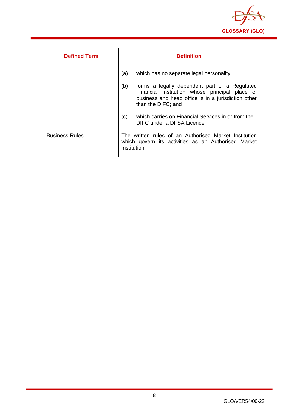

| <b>Defined Term</b>   | <b>Definition</b>                                                                                                                                                                   |
|-----------------------|-------------------------------------------------------------------------------------------------------------------------------------------------------------------------------------|
|                       | (a)<br>which has no separate legal personality;                                                                                                                                     |
|                       | (b)<br>forms a legally dependent part of a Regulated<br>Financial Institution whose principal place of<br>business and head office is in a jurisdiction other<br>than the DIFC; and |
|                       | which carries on Financial Services in or from the<br>(c)<br>DIFC under a DFSA Licence.                                                                                             |
| <b>Business Rules</b> | The written rules of an Authorised Market Institution<br>which govern its activities as an Authorised Market<br>Institution.                                                        |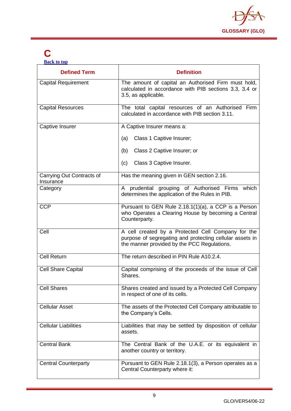

## <span id="page-9-0"></span>**C**

**[Back to top](#page-1-0)**

| <b>Defined Term</b>                    | <b>Definition</b>                                                                                                                                             |
|----------------------------------------|---------------------------------------------------------------------------------------------------------------------------------------------------------------|
| <b>Capital Requirement</b>             | The amount of capital an Authorised Firm must hold,<br>calculated in accordance with PIB sections 3.3, 3.4 or<br>3.5, as applicable.                          |
| <b>Capital Resources</b>               | The total capital resources of an Authorised Firm<br>calculated in accordance with PIB section 3.11.                                                          |
| Captive Insurer                        | A Captive Insurer means a:                                                                                                                                    |
|                                        | Class 1 Captive Insurer;<br>(a)                                                                                                                               |
|                                        | Class 2 Captive Insurer; or<br>(b)                                                                                                                            |
|                                        | Class 3 Captive Insurer.<br>(c)                                                                                                                               |
| Carrying Out Contracts of<br>Insurance | Has the meaning given in GEN section 2.16.                                                                                                                    |
| Category                               | A prudential grouping of Authorised Firms<br>which<br>determines the application of the Rules in PIB.                                                         |
| <b>CCP</b>                             | Pursuant to GEN Rule 2.18.1(1)(a), a CCP is a Person<br>who Operates a Clearing House by becoming a Central<br>Counterparty.                                  |
| Cell                                   | A cell created by a Protected Cell Company for the<br>purpose of segregating and protecting cellular assets in<br>the manner provided by the PCC Regulations. |
| <b>Cell Return</b>                     | The return described in PIN Rule A10.2.4.                                                                                                                     |
| <b>Cell Share Capital</b>              | Capital comprising of the proceeds of the issue of Cell<br>Shares.                                                                                            |
| <b>Cell Shares</b>                     | Shares created and issued by a Protected Cell Company<br>in respect of one of its cells.                                                                      |
| <b>Cellular Asset</b>                  | The assets of the Protected Cell Company attributable to<br>the Company's Cells.                                                                              |
| <b>Cellular Liabilities</b>            | Liabilities that may be settled by disposition of cellular<br>assets.                                                                                         |
| <b>Central Bank</b>                    | The Central Bank of the U.A.E. or its equivalent in<br>another country or territory.                                                                          |
| <b>Central Counterparty</b>            | Pursuant to GEN Rule 2.18.1(3), a Person operates as a<br>Central Counterparty where it:                                                                      |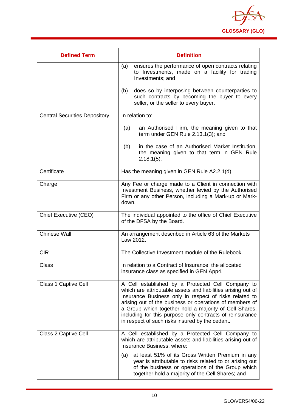

| <b>Defined Term</b>                  | <b>Definition</b>                                                                                                                                                                                                                                                                                                                                                                                               |
|--------------------------------------|-----------------------------------------------------------------------------------------------------------------------------------------------------------------------------------------------------------------------------------------------------------------------------------------------------------------------------------------------------------------------------------------------------------------|
|                                      | ensures the performance of open contracts relating<br>(a)<br>to Investments, made on a facility for trading<br>Investments; and                                                                                                                                                                                                                                                                                 |
|                                      | does so by interposing between counterparties to<br>(b)<br>such contracts by becoming the buyer to every<br>seller, or the seller to every buyer.                                                                                                                                                                                                                                                               |
| <b>Central Securities Depository</b> | In relation to:                                                                                                                                                                                                                                                                                                                                                                                                 |
|                                      | an Authorised Firm, the meaning given to that<br>(a)<br>term under GEN Rule 2.13.1(3); and                                                                                                                                                                                                                                                                                                                      |
|                                      | in the case of an Authorised Market Institution,<br>(b)<br>the meaning given to that term in GEN Rule<br>$2.18.1(5)$ .                                                                                                                                                                                                                                                                                          |
| Certificate                          | Has the meaning given in GEN Rule A2.2.1(d).                                                                                                                                                                                                                                                                                                                                                                    |
| Charge                               | Any Fee or charge made to a Client in connection with<br>Investment Business, whether levied by the Authorised<br>Firm or any other Person, including a Mark-up or Mark-<br>down.                                                                                                                                                                                                                               |
| Chief Executive (CEO)                | The individual appointed to the office of Chief Executive<br>of the DFSA by the Board.                                                                                                                                                                                                                                                                                                                          |
| <b>Chinese Wall</b>                  | An arrangement described in Article 63 of the Markets<br>Law 2012.                                                                                                                                                                                                                                                                                                                                              |
| <b>CIR</b>                           | The Collective Investment module of the Rulebook.                                                                                                                                                                                                                                                                                                                                                               |
| Class                                | In relation to a Contract of Insurance, the allocated<br>insurance class as specified in GEN App4.                                                                                                                                                                                                                                                                                                              |
| Class 1 Captive Cell                 | A Cell established by a Protected Cell Company to<br>which are attributable assets and liabilities arising out of<br>Insurance Business only in respect of risks related to<br>arising out of the business or operations of members of<br>a Group which together hold a majority of Cell Shares,<br>including for this purpose only contracts of reinsurance<br>in respect of such risks insured by the cedant. |
| Class 2 Captive Cell                 | A Cell established by a Protected Cell Company to<br>which are attributable assets and liabilities arising out of<br>Insurance Business, where:                                                                                                                                                                                                                                                                 |
|                                      | at least 51% of its Gross Written Premium in any<br>(a)<br>year is attributable to risks related to or arising out<br>of the business or operations of the Group which<br>together hold a majority of the Cell Shares; and                                                                                                                                                                                      |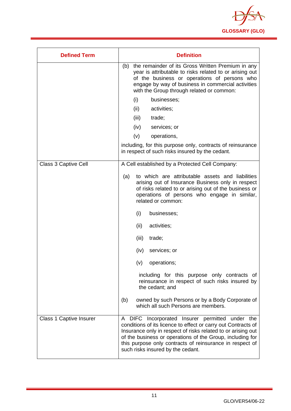

| <b>Defined Term</b>            | <b>Definition</b>                                                                                                                                                                                                                                                                                                                              |
|--------------------------------|------------------------------------------------------------------------------------------------------------------------------------------------------------------------------------------------------------------------------------------------------------------------------------------------------------------------------------------------|
|                                | the remainder of its Gross Written Premium in any<br>(b)<br>year is attributable to risks related to or arising out<br>of the business or operations of persons who<br>engage by way of business in commercial activities<br>with the Group through related or common:                                                                         |
|                                | (i)<br>businesses;                                                                                                                                                                                                                                                                                                                             |
|                                | (ii)<br>activities;                                                                                                                                                                                                                                                                                                                            |
|                                | (iii)<br>trade;                                                                                                                                                                                                                                                                                                                                |
|                                | (iv)<br>services; or                                                                                                                                                                                                                                                                                                                           |
|                                | (v)<br>operations,                                                                                                                                                                                                                                                                                                                             |
|                                | including, for this purpose only, contracts of reinsurance<br>in respect of such risks insured by the cedant.                                                                                                                                                                                                                                  |
| <b>Class 3 Captive Cell</b>    | A Cell established by a Protected Cell Company:                                                                                                                                                                                                                                                                                                |
|                                | to which are attributable assets and liabilities<br>(a)<br>arising out of Insurance Business only in respect<br>of risks related to or arising out of the business or<br>operations of persons who engage in similar,<br>related or common:                                                                                                    |
|                                | businesses;<br>(i)                                                                                                                                                                                                                                                                                                                             |
|                                | activities;<br>(ii)                                                                                                                                                                                                                                                                                                                            |
|                                | (iii)<br>trade;                                                                                                                                                                                                                                                                                                                                |
|                                | services; or<br>(iv)                                                                                                                                                                                                                                                                                                                           |
|                                | (v)<br>operations;                                                                                                                                                                                                                                                                                                                             |
|                                | including for this purpose only contracts of<br>reinsurance in respect of such risks insured by<br>the cedant; and                                                                                                                                                                                                                             |
|                                | owned by such Persons or by a Body Corporate of<br>(b)<br>which all such Persons are members.                                                                                                                                                                                                                                                  |
| <b>Class 1 Captive Insurer</b> | A DIFC Incorporated Insurer permitted under the<br>conditions of its licence to effect or carry out Contracts of<br>Insurance only in respect of risks related to or arising out<br>of the business or operations of the Group, including for<br>this purpose only contracts of reinsurance in respect of<br>such risks insured by the cedant. |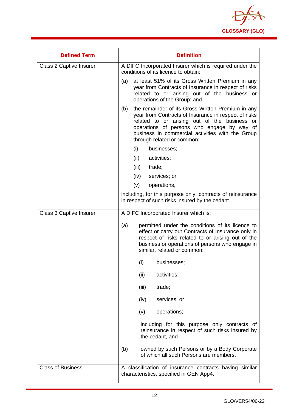

| <b>Defined Term</b>            | <b>Definition</b>                                                                                                                                                                                                                                                                                |
|--------------------------------|--------------------------------------------------------------------------------------------------------------------------------------------------------------------------------------------------------------------------------------------------------------------------------------------------|
| <b>Class 2 Captive Insurer</b> | A DIFC Incorporated Insurer which is required under the<br>conditions of its licence to obtain:                                                                                                                                                                                                  |
|                                | at least 51% of its Gross Written Premium in any<br>(a)<br>year from Contracts of Insurance in respect of risks<br>related to or arising out of the business or<br>operations of the Group; and                                                                                                  |
|                                | the remainder of its Gross Written Premium in any<br>(b)<br>year from Contracts of Insurance in respect of risks<br>related to or arising out of the business or<br>operations of persons who engage by way of<br>business in commercial activities with the Group<br>through related or common: |
|                                | (i)<br>businesses;                                                                                                                                                                                                                                                                               |
|                                | (ii)<br>activities;                                                                                                                                                                                                                                                                              |
|                                | (iii)<br>trade;                                                                                                                                                                                                                                                                                  |
|                                | (iv)<br>services; or                                                                                                                                                                                                                                                                             |
|                                | (v)<br>operations,                                                                                                                                                                                                                                                                               |
|                                | including, for this purpose only, contracts of reinsurance<br>in respect of such risks insured by the cedant.                                                                                                                                                                                    |
| <b>Class 3 Captive Insurer</b> | A DIFC Incorporated Insurer which is:                                                                                                                                                                                                                                                            |
|                                | permitted under the conditions of its licence to<br>(a)<br>effect or carry out Contracts of Insurance only in<br>respect of risks related to or arising out of the<br>business or operations of persons who engage in<br>similar, related or common:                                             |
|                                | (i)<br>businesses;                                                                                                                                                                                                                                                                               |
|                                | (ii)<br>activities;                                                                                                                                                                                                                                                                              |
|                                | (iii)<br>trade;                                                                                                                                                                                                                                                                                  |
|                                | (iv)<br>services; or                                                                                                                                                                                                                                                                             |
|                                | operations;<br>(v)                                                                                                                                                                                                                                                                               |
|                                | including for this purpose only contracts of<br>reinsurance in respect of such risks insured by<br>the cedant, and                                                                                                                                                                               |
|                                | (b)<br>owned by such Persons or by a Body Corporate<br>of which all such Persons are members.                                                                                                                                                                                                    |
| <b>Class of Business</b>       | A classification of insurance contracts having similar<br>characteristics, specified in GEN App4.                                                                                                                                                                                                |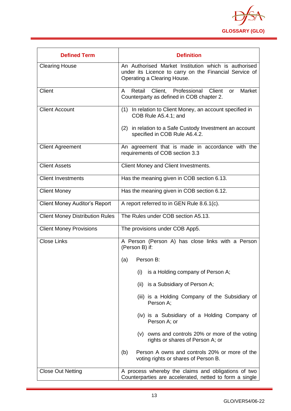

| <b>Defined Term</b>                    | <b>Definition</b>                                                                                                                             |
|----------------------------------------|-----------------------------------------------------------------------------------------------------------------------------------------------|
| <b>Clearing House</b>                  | An Authorised Market Institution which is authorised<br>under its Licence to carry on the Financial Service of<br>Operating a Clearing House. |
| Client                                 | Retail Client, Professional Client<br>Market<br>A<br>or<br>Counterparty as defined in COB chapter 2.                                          |
| <b>Client Account</b>                  | In relation to Client Money, an account specified in<br>(1)<br>COB Rule A5.4.1; and                                                           |
|                                        | in relation to a Safe Custody Investment an account<br>(2)<br>specified in COB Rule A6.4.2.                                                   |
| <b>Client Agreement</b>                | An agreement that is made in accordance with the<br>requirements of COB section 3.3                                                           |
| <b>Client Assets</b>                   | Client Money and Client Investments.                                                                                                          |
| <b>Client Investments</b>              | Has the meaning given in COB section 6.13.                                                                                                    |
| <b>Client Money</b>                    | Has the meaning given in COB section 6.12.                                                                                                    |
| <b>Client Money Auditor's Report</b>   | A report referred to in GEN Rule 8.6.1(c).                                                                                                    |
| <b>Client Money Distribution Rules</b> | The Rules under COB section A5.13.                                                                                                            |
| <b>Client Money Provisions</b>         | The provisions under COB App5.                                                                                                                |
| <b>Close Links</b>                     | A Person (Person A) has close links with a Person<br>(Person B) if:                                                                           |
|                                        | Person B:<br>(a)                                                                                                                              |
|                                        | is a Holding company of Person A;<br>(i)                                                                                                      |
|                                        | (ii) is a Subsidiary of Person A;                                                                                                             |
|                                        | (iii) is a Holding Company of the Subsidiary of<br>Person A:                                                                                  |
|                                        | (iv) is a Subsidiary of a Holding Company of<br>Person A; or                                                                                  |
|                                        | (v) owns and controls 20% or more of the voting<br>rights or shares of Person A; or                                                           |
|                                        | Person A owns and controls 20% or more of the<br>(b)<br>voting rights or shares of Person B.                                                  |
| <b>Close Out Netting</b>               | A process whereby the claims and obligations of two<br>Counterparties are accelerated, netted to form a single                                |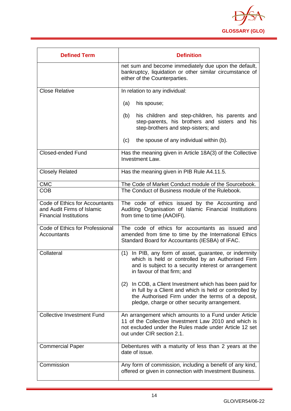

| <b>Defined Term</b>                                                                           | <b>Definition</b>                                                                                                                                                                                                          |
|-----------------------------------------------------------------------------------------------|----------------------------------------------------------------------------------------------------------------------------------------------------------------------------------------------------------------------------|
|                                                                                               | net sum and become immediately due upon the default,<br>bankruptcy, liquidation or other similar circumstance of<br>either of the Counterparties.                                                                          |
| <b>Close Relative</b>                                                                         | In relation to any individual:                                                                                                                                                                                             |
|                                                                                               | his spouse;<br>(a)                                                                                                                                                                                                         |
|                                                                                               | his children and step-children, his parents and<br>(b)<br>step-parents, his brothers and sisters and his<br>step-brothers and step-sisters; and                                                                            |
|                                                                                               | the spouse of any individual within (b).<br>(c)                                                                                                                                                                            |
| <b>Closed-ended Fund</b>                                                                      | Has the meaning given in Article 18A(3) of the Collective<br>Investment Law.                                                                                                                                               |
| <b>Closely Related</b>                                                                        | Has the meaning given in PIB Rule A4.11.5.                                                                                                                                                                                 |
| <b>CMC</b>                                                                                    | The Code of Market Conduct module of the Sourcebook.                                                                                                                                                                       |
| <b>COB</b>                                                                                    | The Conduct of Business module of the Rulebook.                                                                                                                                                                            |
| Code of Ethics for Accountants<br>and Audit Firms of Islamic<br><b>Financial Institutions</b> | The code of ethics issued by the Accounting and<br>Auditing Organisation of Islamic Financial Institutions<br>from time to time (AAOIFI).                                                                                  |
| Code of Ethics for Professional<br>Accountants                                                | The code of ethics for accountants as issued and<br>amended from time to time by the International Ethics<br>Standard Board for Accountants (IESBA) of IFAC.                                                               |
| Collateral                                                                                    | In PIB, any form of asset, guarantee, or indemnity<br>(1)<br>which is held or controlled by an Authorised Firm<br>and is subject to a security interest or arrangement<br>in favour of that firm; and                      |
|                                                                                               | In COB, a Client Investment which has been paid for<br>(2)<br>in full by a Client and which is held or controlled by<br>the Authorised Firm under the terms of a deposit,<br>pledge, charge or other security arrangement. |
| <b>Collective Investment Fund</b>                                                             | An arrangement which amounts to a Fund under Article<br>11 of the Collective Investment Law 2010 and which is<br>not excluded under the Rules made under Article 12 set<br>out under CIR section 2.1.                      |
| <b>Commercial Paper</b>                                                                       | Debentures with a maturity of less than 2 years at the<br>date of issue.                                                                                                                                                   |
| Commission                                                                                    | Any form of commission, including a benefit of any kind,<br>offered or given in connection with Investment Business.                                                                                                       |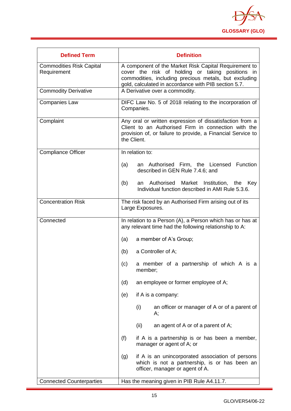

| <b>Defined Term</b>                            | <b>Definition</b>                                                                                                                                                                                                          |  |
|------------------------------------------------|----------------------------------------------------------------------------------------------------------------------------------------------------------------------------------------------------------------------------|--|
| <b>Commodities Risk Capital</b><br>Requirement | A component of the Market Risk Capital Requirement to<br>cover the risk of holding or taking positions in<br>commodities, including precious metals, but excluding<br>gold, calculated in accordance with PIB section 5.7. |  |
| <b>Commodity Derivative</b>                    | A Derivative over a commodity.                                                                                                                                                                                             |  |
| <b>Companies Law</b>                           | DIFC Law No. 5 of 2018 relating to the incorporation of<br>Companies.                                                                                                                                                      |  |
| Complaint                                      | Any oral or written expression of dissatisfaction from a<br>Client to an Authorised Firm in connection with the<br>provision of, or failure to provide, a Financial Service to<br>the Client.                              |  |
| <b>Compliance Officer</b>                      | In relation to:                                                                                                                                                                                                            |  |
|                                                | an Authorised Firm, the Licensed Function<br>(a)<br>described in GEN Rule 7.4.6; and                                                                                                                                       |  |
|                                                | (b)<br>Authorised<br>Market<br>Institution, the Key<br>an<br>Individual function described in AMI Rule 5.3.6.                                                                                                              |  |
| <b>Concentration Risk</b>                      | The risk faced by an Authorised Firm arising out of its<br>Large Exposures.                                                                                                                                                |  |
| Connected                                      | In relation to a Person (A), a Person which has or has at<br>any relevant time had the following relationship to A:                                                                                                        |  |
|                                                | (a)<br>a member of A's Group;                                                                                                                                                                                              |  |
|                                                | (b)<br>a Controller of A;                                                                                                                                                                                                  |  |
|                                                | a member of a partnership of which A is a<br>(c)<br>member;                                                                                                                                                                |  |
|                                                | an employee or former employee of A;<br>(d)                                                                                                                                                                                |  |
|                                                | if A is a company:<br>(e)                                                                                                                                                                                                  |  |
|                                                | (i)<br>an officer or manager of A or of a parent of<br>А;                                                                                                                                                                  |  |
|                                                | (ii)<br>an agent of A or of a parent of A;                                                                                                                                                                                 |  |
|                                                | (f)<br>if A is a partnership is or has been a member,<br>manager or agent of A; or                                                                                                                                         |  |
|                                                | if A is an unincorporated association of persons<br>(g)<br>which is not a partnership, is or has been an<br>officer, manager or agent of A.                                                                                |  |
| <b>Connected Counterparties</b>                | Has the meaning given in PIB Rule A4.11.7.                                                                                                                                                                                 |  |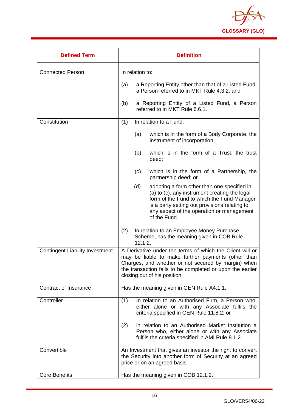

| <b>Defined Term</b>                    | <b>Definition</b>                                                                                                                                                                                                                                                  |  |
|----------------------------------------|--------------------------------------------------------------------------------------------------------------------------------------------------------------------------------------------------------------------------------------------------------------------|--|
| <b>Connected Person</b>                | In relation to:                                                                                                                                                                                                                                                    |  |
|                                        | a Reporting Entity other than that of a Listed Fund,<br>(a)<br>a Person referred to in MKT Rule 4.3.2; and                                                                                                                                                         |  |
|                                        | a Reporting Entity of a Listed Fund, a Person<br>(b)<br>referred to in MKT Rule 6.6.1.                                                                                                                                                                             |  |
| Constitution                           | (1)<br>In relation to a Fund:                                                                                                                                                                                                                                      |  |
|                                        | which is in the form of a Body Corporate, the<br>(a)<br>instrument of incorporation;                                                                                                                                                                               |  |
|                                        | which is in the form of a Trust, the trust<br>(b)<br>deed;                                                                                                                                                                                                         |  |
|                                        | which is in the form of a Partnership, the<br>(c)<br>partnership deed; or                                                                                                                                                                                          |  |
|                                        | adopting a form other than one specified in<br>(d)<br>(a) to (c), any instrument creating the legal<br>form of the Fund to which the Fund Manager<br>is a party setting out provisions relating to<br>any aspect of the operation or management<br>of the Fund.    |  |
|                                        | (2)<br>In relation to an Employee Money Purchase<br>Scheme, has the meaning given in COB Rule<br>12.1.2.                                                                                                                                                           |  |
| <b>Contingent Liability Investment</b> | A Derivative under the terms of which the Client will or<br>may be liable to make further payments (other than<br>Charges, and whether or not secured by margin) when<br>the transaction falls to be completed or upon the earlier<br>closing out of his position. |  |
| Contract of Insurance                  | Has the meaning given in GEN Rule A4.1.1.                                                                                                                                                                                                                          |  |
| Controller                             | In relation to an Authorised Firm, a Person who,<br>(1)<br>either alone or with any Associate fulfils the<br>criteria specified in GEN Rule 11.8.2; or                                                                                                             |  |
|                                        | in relation to an Authorised Market Institution a<br>(2)<br>Person who, either alone or with any Associate<br>fulfils the criteria specified in AMI Rule 8.1.2.                                                                                                    |  |
| Convertible                            | An Investment that gives an investor the right to convert<br>the Security into another form of Security at an agreed<br>price or on an agreed basis.                                                                                                               |  |
| <b>Core Benefits</b>                   | Has the meaning given in COB 12.1.2.                                                                                                                                                                                                                               |  |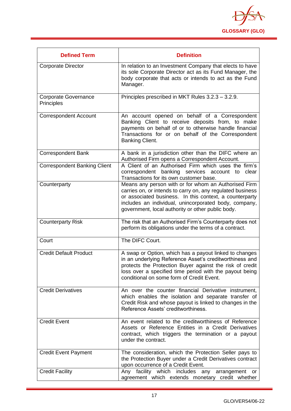

| <b>Defined Term</b>                       | <b>Definition</b>                                                                                                                                                                                                                                                                           |
|-------------------------------------------|---------------------------------------------------------------------------------------------------------------------------------------------------------------------------------------------------------------------------------------------------------------------------------------------|
| <b>Corporate Director</b>                 | In relation to an Investment Company that elects to have<br>its sole Corporate Director act as its Fund Manager, the<br>body corporate that acts or intends to act as the Fund<br>Manager.                                                                                                  |
| <b>Corporate Governance</b><br>Principles | Principles prescribed in MKT Rules 3.2.3 - 3.2.9.                                                                                                                                                                                                                                           |
| <b>Correspondent Account</b>              | An account opened on behalf of a Correspondent<br>Banking Client to receive deposits from, to make<br>payments on behalf of or to otherwise handle financial<br>Transactions for or on behalf of the Correspondent<br>Banking Client.                                                       |
| <b>Correspondent Bank</b>                 | A bank in a jurisdiction other than the DIFC where an<br>Authorised Firm opens a Correspondent Account.                                                                                                                                                                                     |
| <b>Correspondent Banking Client</b>       | A Client of an Authorised Firm which uses the firm's<br>correspondent banking services account to<br>clear<br>Transactions for its own customer base.                                                                                                                                       |
| Counterparty                              | Means any person with or for whom an Authorised Firm<br>carries on, or intends to carry on, any regulated business<br>or associated business. In this context, a counterparty<br>includes an individual, unincorporated body, company,<br>government, local authority or other public body. |
| <b>Counterparty Risk</b>                  | The risk that an Authorised Firm's Counterparty does not<br>perform its obligations under the terms of a contract.                                                                                                                                                                          |
| Court                                     | The DIFC Court.                                                                                                                                                                                                                                                                             |
| <b>Credit Default Product</b>             | A swap or Option, which has a payout linked to changes<br>in an underlying Reference Asset's creditworthiness and<br>protects the Protection Buyer against the risk of credit<br>loss over a specified time period with the payout being<br>conditional on some form of Credit Event.       |
| <b>Credit Derivatives</b>                 | An over the counter financial Derivative instrument,<br>which enables the isolation and separate transfer of<br>Credit Risk and whose payout is linked to changes in the<br>Reference Assets' creditworthiness.                                                                             |
| <b>Credit Event</b>                       | An event related to the creditworthiness of Reference<br>Assets or Reference Entities in a Credit Derivatives<br>contract, which triggers the termination or a payout<br>under the contract.                                                                                                |
| <b>Credit Event Payment</b>               | The consideration, which the Protection Seller pays to<br>the Protection Buyer under a Credit Derivatives contract<br>upon occurrence of a Credit Event.                                                                                                                                    |
| <b>Credit Facility</b>                    | Any facility which includes<br>any<br>arrangement<br>or<br>agreement which extends monetary credit whether                                                                                                                                                                                  |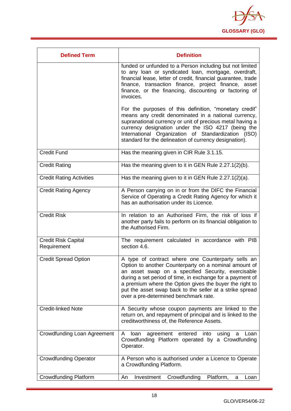

| <b>Defined Term</b>                | <b>Definition</b>                                                                                                                                                                                                                                                                                                                                                                              |
|------------------------------------|------------------------------------------------------------------------------------------------------------------------------------------------------------------------------------------------------------------------------------------------------------------------------------------------------------------------------------------------------------------------------------------------|
|                                    | funded or unfunded to a Person including but not limited<br>to any loan or syndicated loan, mortgage, overdraft,<br>financial lease, letter of credit, financial guarantee, trade<br>finance, transaction finance, project finance, asset<br>finance, or the financing, discounting or factoring of<br>invoices.                                                                               |
|                                    | For the purposes of this definition, "monetary credit"<br>means any credit denominated in a national currency,<br>supranational currency or unit of precious metal having a<br>currency designation under the ISO 4217 (being the<br>International Organization of Standardization (ISO)<br>standard for the delineation of currency designation).                                             |
| <b>Credit Fund</b>                 | Has the meaning given in CIR Rule 3.1.15.                                                                                                                                                                                                                                                                                                                                                      |
| <b>Credit Rating</b>               | Has the meaning given to it in GEN Rule 2.27.1(2)(b).                                                                                                                                                                                                                                                                                                                                          |
| <b>Credit Rating Activities</b>    | Has the meaning given to it in GEN Rule 2.27.1(2)(a).                                                                                                                                                                                                                                                                                                                                          |
| <b>Credit Rating Agency</b>        | A Person carrying on in or from the DIFC the Financial<br>Service of Operating a Credit Rating Agency for which it<br>has an authorisation under its Licence.                                                                                                                                                                                                                                  |
| <b>Credit Risk</b>                 | In relation to an Authorised Firm, the risk of loss if<br>another party fails to perform on its financial obligation to<br>the Authorised Firm.                                                                                                                                                                                                                                                |
| Credit Risk Capital<br>Requirement | The requirement calculated in accordance with PIB<br>section 4.6.                                                                                                                                                                                                                                                                                                                              |
| <b>Credit Spread Option</b>        | A type of contract where one Counterparty sells an<br>Option to another Counterparty on a nominal amount of<br>an asset swap on a specified Security, exercisable<br>during a set period of time, in exchange for a payment of<br>a premium where the Option gives the buyer the right to<br>put the asset swap back to the seller at a strike spread<br>over a pre-determined benchmark rate. |
| <b>Credit-linked Note</b>          | A Security whose coupon payments are linked to the<br>return on, and repayment of principal and is linked to the<br>creditworthiness of, the Reference Assets.                                                                                                                                                                                                                                 |
| Crowdfunding Loan Agreement        | agreement<br>entered into<br>A<br>loan<br>using<br>Loan<br>a<br>Crowdfunding Platform operated by a Crowdfunding<br>Operator.                                                                                                                                                                                                                                                                  |
| <b>Crowdfunding Operator</b>       | A Person who is authorised under a Licence to Operate<br>a Crowdfunding Platform.                                                                                                                                                                                                                                                                                                              |
| <b>Crowdfunding Platform</b>       | Crowdfunding<br>Platform,<br>Investment<br>An<br>Loan<br>a                                                                                                                                                                                                                                                                                                                                     |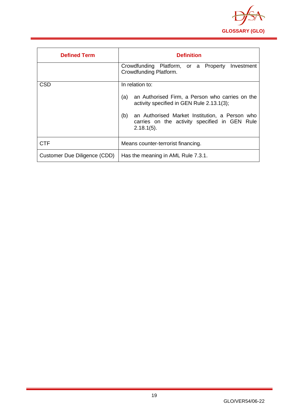

<span id="page-19-0"></span>

| <b>Defined Term</b>          | <b>Definition</b>                                                                                                                                                                                                                                 |
|------------------------------|---------------------------------------------------------------------------------------------------------------------------------------------------------------------------------------------------------------------------------------------------|
|                              | Crowdfunding Platform, or a Property<br>Investment<br>Crowdfunding Platform.                                                                                                                                                                      |
| <b>CSD</b>                   | In relation to:<br>(a)<br>an Authorised Firm, a Person who carries on the<br>activity specified in GEN Rule 2.13.1(3);<br>(b)<br>an Authorised Market Institution, a Person who<br>carries on the activity specified in GEN Rule<br>$2.18.1(5)$ . |
| <b>CTF</b>                   | Means counter-terrorist financing.                                                                                                                                                                                                                |
| Customer Due Diligence (CDD) | Has the meaning in AML Rule 7.3.1.                                                                                                                                                                                                                |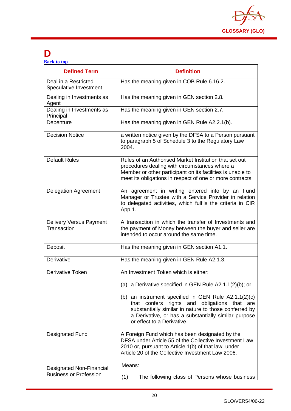

## **D**

| <b>Back to top</b> |  |  |
|--------------------|--|--|
|                    |  |  |

| <b>Defined Term</b>                                              | <b>Definition</b>                                                                                                                                                                                                                                     |
|------------------------------------------------------------------|-------------------------------------------------------------------------------------------------------------------------------------------------------------------------------------------------------------------------------------------------------|
| Deal in a Restricted<br>Speculative Investment                   | Has the meaning given in COB Rule 6.16.2.                                                                                                                                                                                                             |
| Dealing in Investments as<br>Agent                               | Has the meaning given in GEN section 2.8.                                                                                                                                                                                                             |
| Dealing in Investments as<br>Principal                           | Has the meaning given in GEN section 2.7.                                                                                                                                                                                                             |
| Debenture                                                        | Has the meaning given in GEN Rule A2.2.1(b).                                                                                                                                                                                                          |
| <b>Decision Notice</b>                                           | a written notice given by the DFSA to a Person pursuant<br>to paragraph 5 of Schedule 3 to the Regulatory Law<br>2004.                                                                                                                                |
| <b>Default Rules</b>                                             | Rules of an Authorised Market Institution that set out<br>procedures dealing with circumstances where a<br>Member or other participant on its facilities is unable to<br>meet its obligations in respect of one or more contracts.                    |
| <b>Delegation Agreement</b>                                      | An agreement in writing entered into by an Fund<br>Manager or Trustee with a Service Provider in relation<br>to delegated activities, which fulfils the criteria in CIR<br>App 1.                                                                     |
| <b>Delivery Versus Payment</b><br>Transaction                    | A transaction in which the transfer of Investments and<br>the payment of Money between the buyer and seller are<br>intended to occur around the same time.                                                                                            |
| Deposit                                                          | Has the meaning given in GEN section A1.1.                                                                                                                                                                                                            |
| Derivative                                                       | Has the meaning given in GEN Rule A2.1.3.                                                                                                                                                                                                             |
| <b>Derivative Token</b>                                          | An Investment Token which is either:                                                                                                                                                                                                                  |
|                                                                  | (a) a Derivative specified in GEN Rule $A2.1.1(2)(b)$ ; or                                                                                                                                                                                            |
|                                                                  | (b) an instrument specified in GEN Rule $A2.1.1(2)(c)$<br>that confers rights and obligations that are<br>substantially similar in nature to those conferred by<br>a Derivative, or has a substantially similar purpose<br>or effect to a Derivative. |
| <b>Designated Fund</b>                                           | A Foreign Fund which has been designated by the<br>DFSA under Article 55 of the Collective Investment Law<br>2010 or, pursuant to Article 1(b) of that law, under<br>Article 20 of the Collective Investment Law 2006.                                |
| <b>Designated Non-Financial</b><br><b>Business or Profession</b> | Means:<br>(1)<br>The following class of Persons whose business                                                                                                                                                                                        |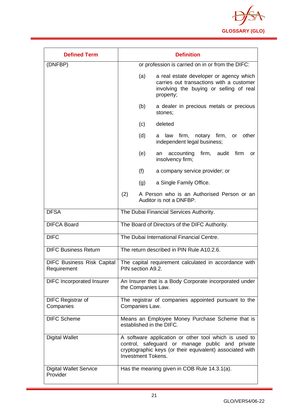

| <b>Defined Term</b>                              | <b>Definition</b>                                                                                                                                                                                 |  |
|--------------------------------------------------|---------------------------------------------------------------------------------------------------------------------------------------------------------------------------------------------------|--|
| (DNFBP)                                          | or profession is carried on in or from the DIFC:                                                                                                                                                  |  |
|                                                  | a real estate developer or agency which<br>(a)<br>carries out transactions with a customer<br>involving the buying or selling of real<br>property;                                                |  |
|                                                  | (b)<br>a dealer in precious metals or precious<br>stones;                                                                                                                                         |  |
|                                                  | (c)<br>deleted                                                                                                                                                                                    |  |
|                                                  | (d)<br>law firm,<br>notary firm,<br>other<br>or<br>a<br>independent legal business;                                                                                                               |  |
|                                                  | (e)<br>accounting<br>firm, audit<br>firm<br>an<br>or<br>insolvency firm;                                                                                                                          |  |
|                                                  | (f)<br>a company service provider; or                                                                                                                                                             |  |
|                                                  | a Single Family Office.<br>(g)                                                                                                                                                                    |  |
|                                                  | (2)<br>A Person who is an Authorised Person or an<br>Auditor is not a DNFBP.                                                                                                                      |  |
| <b>DFSA</b>                                      | The Dubai Financial Services Authority.                                                                                                                                                           |  |
| <b>DIFCA Board</b>                               | The Board of Directors of the DIFC Authority.                                                                                                                                                     |  |
| <b>DIFC</b>                                      | The Dubai International Financial Centre.                                                                                                                                                         |  |
| <b>DIFC Business Return</b>                      | The return described in PIN Rule A10.2.6.                                                                                                                                                         |  |
| <b>DIFC Business Risk Capital</b><br>Requirement | The capital requirement calculated in accordance with<br>PIN section A9.2.                                                                                                                        |  |
| <b>DIFC</b> Incorporated Insurer                 | An Insurer that is a Body Corporate incorporated under<br>the Companies Law.                                                                                                                      |  |
| <b>DIFC Registrar of</b><br>Companies            | The registrar of companies appointed pursuant to the<br>Companies Law.                                                                                                                            |  |
| <b>DIFC Scheme</b>                               | Means an Employee Money Purchase Scheme that is<br>established in the DIFC.                                                                                                                       |  |
| <b>Digital Wallet</b>                            | A software application or other tool which is used to<br>control, safeguard or manage public and private<br>cryptographic keys (or their equivalent) associated with<br><b>Investment Tokens.</b> |  |
| <b>Digital Wallet Service</b><br>Provider        | Has the meaning given in COB Rule 14.3.1(a).                                                                                                                                                      |  |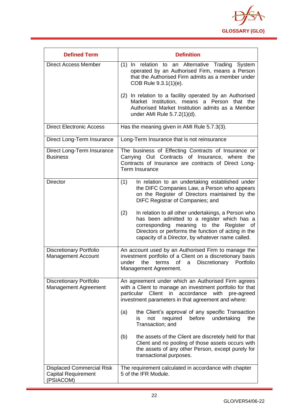

| <b>Defined Term</b>                                                         | <b>Definition</b>                                                                                                                                                                                                                                                                                                                                                                                                                                                   |
|-----------------------------------------------------------------------------|---------------------------------------------------------------------------------------------------------------------------------------------------------------------------------------------------------------------------------------------------------------------------------------------------------------------------------------------------------------------------------------------------------------------------------------------------------------------|
| <b>Direct Access Member</b>                                                 | (1) In relation to an Alternative Trading System<br>operated by an Authorised Firm, means a Person<br>that the Authorised Firm admits as a member under<br>COB Rule 9.3.1(1)(e).                                                                                                                                                                                                                                                                                    |
|                                                                             | (2) In relation to a facility operated by an Authorised<br>Market Institution, means<br>a Person that the<br>Authorised Market Institution admits as a Member<br>under AMI Rule 5.7.2(1)(d).                                                                                                                                                                                                                                                                        |
| <b>Direct Electronic Access</b>                                             | Has the meaning given in AMI Rule 5.7.3(3).                                                                                                                                                                                                                                                                                                                                                                                                                         |
| Direct Long-Term Insurance                                                  | Long-Term Insurance that is not reinsurance                                                                                                                                                                                                                                                                                                                                                                                                                         |
| Direct Long-Term Insurance<br><b>Business</b>                               | The business of Effecting Contracts of Insurance or<br>Carrying Out Contracts of Insurance, where the<br>Contracts of Insurance are contracts of Direct Long-<br>Term Insurance                                                                                                                                                                                                                                                                                     |
| <b>Director</b>                                                             | (1)<br>In relation to an undertaking established under<br>the DIFC Companies Law, a Person who appears<br>on the Register of Directors maintained by the<br>DIFC Registrar of Companies; and<br>(2)<br>In relation to all other undertakings, a Person who<br>has been admitted to a register which has a<br>corresponding meaning to the Register<br>of<br>Directors or performs the function of acting in the<br>capacity of a Director, by whatever name called. |
| <b>Discretionary Portfolio</b><br><b>Management Account</b>                 | An account used by an Authorised Firm to manage the<br>investment portfolio of a Client on a discretionary basis<br>under<br>the<br>terms<br>of<br>a<br>Discretionary Portfolio<br>Management Agreement.                                                                                                                                                                                                                                                            |
| <b>Discretionary Portfolio</b><br><b>Management Agreement</b>               | An agreement under which an Authorised Firm agrees<br>with a Client to manage an investment portfolio for that<br>particular Client<br>in accordance<br>with<br>pre-agreed<br>investment parameters in that agreement and where:<br>the Client's approval of any specific Transaction<br>(a)<br>before<br>undertaking<br>required<br>the<br>not<br>is<br>Transaction; and                                                                                           |
|                                                                             | the assets of the Client are discretely held for that<br>(b)<br>Client and no pooling of those assets occurs with<br>the assets of any other Person, except purely for<br>transactional purposes.                                                                                                                                                                                                                                                                   |
| <b>Displaced Commercial Risk</b><br><b>Capital Requirement</b><br>(PSIACOM) | The requirement calculated in accordance with chapter<br>5 of the IFR Module.                                                                                                                                                                                                                                                                                                                                                                                       |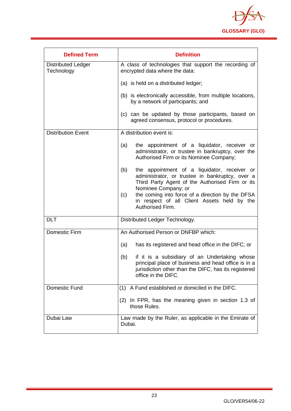

| <b>Defined Term</b>                     | <b>Definition</b>                                                                                                                                                                                                                                                                                              |
|-----------------------------------------|----------------------------------------------------------------------------------------------------------------------------------------------------------------------------------------------------------------------------------------------------------------------------------------------------------------|
| <b>Distributed Ledger</b><br>Technology | A class of technologies that support the recording of<br>encrypted data where the data:                                                                                                                                                                                                                        |
|                                         | (a) is held on a distributed ledger;                                                                                                                                                                                                                                                                           |
|                                         | (b) is electronically accessible, from multiple locations,<br>by a network of participants; and                                                                                                                                                                                                                |
|                                         | (c) can be updated by those participants, based on<br>agreed consensus, protocol or procedures.                                                                                                                                                                                                                |
| <b>Distribution Event</b>               | A distribution event is:                                                                                                                                                                                                                                                                                       |
|                                         | the appointment of a liquidator, receiver or<br>(a)<br>administrator, or trustee in bankruptcy, over the<br>Authorised Firm or its Nominee Company;                                                                                                                                                            |
|                                         | the appointment of a liquidator, receiver or<br>(b)<br>administrator, or trustee in bankruptcy, over a<br>Third Party Agent of the Authorised Firm or its<br>Nominee Company; or<br>the coming into force of a direction by the DFSA<br>(c)<br>in respect of all Client Assets held by the<br>Authorised Firm. |
| <b>DLT</b>                              | Distributed Ledger Technology.                                                                                                                                                                                                                                                                                 |
| Domestic Firm                           | An Authorised Person or DNFBP which:                                                                                                                                                                                                                                                                           |
|                                         | has its registered and head office in the DIFC; or<br>(a)                                                                                                                                                                                                                                                      |
|                                         | if it is a subsidiary of an Undertaking whose<br>(b)<br>principal place of business and head office is in a<br>jurisdiction other than the DIFC, has its registered<br>office in the DIFC.                                                                                                                     |
| Domestic Fund                           | (1) A Fund established or domiciled in the DIFC.                                                                                                                                                                                                                                                               |
|                                         | (2) In FPR, has the meaning given in section 1.3 of<br>those Rules.                                                                                                                                                                                                                                            |
| Dubai Law                               | Law made by the Ruler, as applicable in the Emirate of<br>Dubai.                                                                                                                                                                                                                                               |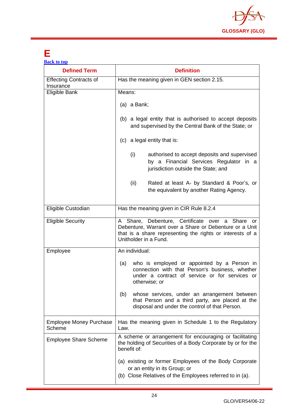

## <span id="page-24-0"></span>**E**

| <b>Back to top</b>                         |                                                                                                                                                                                                 |  |
|--------------------------------------------|-------------------------------------------------------------------------------------------------------------------------------------------------------------------------------------------------|--|
| <b>Defined Term</b>                        | <b>Definition</b>                                                                                                                                                                               |  |
| <b>Effecting Contracts of</b><br>Insurance | Has the meaning given in GEN section 2.15.                                                                                                                                                      |  |
| Eligible Bank                              | Means:                                                                                                                                                                                          |  |
|                                            | $(a)$ a Bank;                                                                                                                                                                                   |  |
|                                            | (b) a legal entity that is authorised to accept deposits<br>and supervised by the Central Bank of the State; or                                                                                 |  |
|                                            | (c) a legal entity that is:                                                                                                                                                                     |  |
|                                            | (i)<br>authorised to accept deposits and supervised<br>by a Financial Services Regulator in a<br>jurisdiction outside the State; and                                                            |  |
|                                            | (ii)<br>Rated at least A- by Standard & Poor's, or<br>the equivalent by another Rating Agency.                                                                                                  |  |
| Eligible Custodian                         | Has the meaning given in CIR Rule 8.2.4                                                                                                                                                         |  |
| <b>Eligible Security</b>                   | A Share, Debenture, Certificate over a Share or<br>Debenture, Warrant over a Share or Debenture or a Unit<br>that is a share representing the rights or interests of a<br>Unitholder in a Fund. |  |
| Employee                                   | An individual:                                                                                                                                                                                  |  |
|                                            | who is employed or appointed by a Person in<br>(a)<br>connection with that Person's business, whether<br>under a contract of service or for services or<br>otherwise; or                        |  |
|                                            | whose services, under an arrangement between<br>(b)<br>that Person and a third party, are placed at the<br>disposal and under the control of that Person.                                       |  |
| <b>Employee Money Purchase</b><br>Scheme   | Has the meaning given in Schedule 1 to the Regulatory<br>Law.                                                                                                                                   |  |
| <b>Employee Share Scheme</b>               | A scheme or arrangement for encouraging or facilitating<br>the holding of Securities of a Body Corporate by or for the<br>benefit of:                                                           |  |
|                                            | (a) existing or former Employees of the Body Corporate<br>or an entity in its Group; or<br>(b) Close Relatives of the Employees referred to in (a).                                             |  |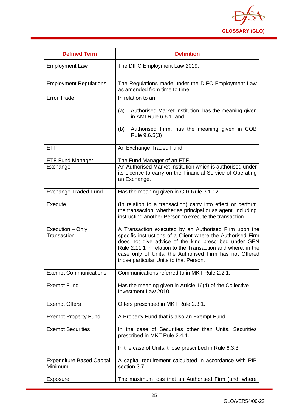

| <b>Defined Term</b>                         | <b>Definition</b>                                                                                                                                                                                                                                                                                                                                  |
|---------------------------------------------|----------------------------------------------------------------------------------------------------------------------------------------------------------------------------------------------------------------------------------------------------------------------------------------------------------------------------------------------------|
| <b>Employment Law</b>                       | The DIFC Employment Law 2019.                                                                                                                                                                                                                                                                                                                      |
| <b>Employment Regulations</b>               | The Regulations made under the DIFC Employment Law<br>as amended from time to time.                                                                                                                                                                                                                                                                |
| Error Trade                                 | In relation to an:                                                                                                                                                                                                                                                                                                                                 |
|                                             | Authorised Market Institution, has the meaning given<br>(a)<br>in AMI Rule 6.6.1; and                                                                                                                                                                                                                                                              |
|                                             | Authorised Firm, has the meaning given in COB<br>(b)<br>Rule 9.6.5(3)                                                                                                                                                                                                                                                                              |
| <b>ETF</b>                                  | An Exchange Traded Fund.                                                                                                                                                                                                                                                                                                                           |
| <b>ETF Fund Manager</b>                     | The Fund Manager of an ETF.                                                                                                                                                                                                                                                                                                                        |
| Exchange                                    | An Authorised Market Institution which is authorised under<br>its Licence to carry on the Financial Service of Operating<br>an Exchange.                                                                                                                                                                                                           |
| <b>Exchange Traded Fund</b>                 | Has the meaning given in CIR Rule 3.1.12.                                                                                                                                                                                                                                                                                                          |
| Execute                                     | (In relation to a transaction) carry into effect or perform<br>the transaction, whether as principal or as agent, including<br>instructing another Person to execute the transaction.                                                                                                                                                              |
| Execution - Only<br>Transaction             | A Transaction executed by an Authorised Firm upon the<br>specific instructions of a Client where the Authorised Firm<br>does not give advice of the kind prescribed under GEN<br>Rule 2.11.1 in relation to the Transaction and where, in the<br>case only of Units, the Authorised Firm has not Offered<br>those particular Units to that Person. |
| <b>Exempt Communications</b>                | Communications referred to in MKT Rule 2.2.1.                                                                                                                                                                                                                                                                                                      |
| <b>Exempt Fund</b>                          | Has the meaning given in Article 16(4) of the Collective<br>Investment Law 2010.                                                                                                                                                                                                                                                                   |
| <b>Exempt Offers</b>                        | Offers prescribed in MKT Rule 2.3.1.                                                                                                                                                                                                                                                                                                               |
| <b>Exempt Property Fund</b>                 | A Property Fund that is also an Exempt Fund.                                                                                                                                                                                                                                                                                                       |
| <b>Exempt Securities</b>                    | In the case of Securities other than Units, Securities<br>prescribed in MKT Rule 2.4.1.                                                                                                                                                                                                                                                            |
|                                             | In the case of Units, those prescribed in Rule 6.3.3.                                                                                                                                                                                                                                                                                              |
| <b>Expenditure Based Capital</b><br>Minimum | A capital requirement calculated in accordance with PIB<br>section 3.7.                                                                                                                                                                                                                                                                            |
| Exposure                                    | The maximum loss that an Authorised Firm (and, where                                                                                                                                                                                                                                                                                               |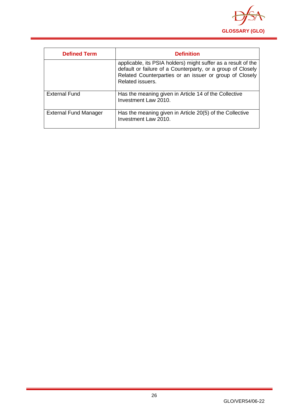

<span id="page-26-0"></span>

| <b>Defined Term</b>          | <b>Definition</b>                                                                                                                                                                                           |
|------------------------------|-------------------------------------------------------------------------------------------------------------------------------------------------------------------------------------------------------------|
|                              | applicable, its PSIA holders) might suffer as a result of the<br>default or failure of a Counterparty, or a group of Closely<br>Related Counterparties or an issuer or group of Closely<br>Related issuers. |
| <b>External Fund</b>         | Has the meaning given in Article 14 of the Collective<br>Investment Law 2010.                                                                                                                               |
| <b>External Fund Manager</b> | Has the meaning given in Article 20(5) of the Collective<br>Investment Law 2010.                                                                                                                            |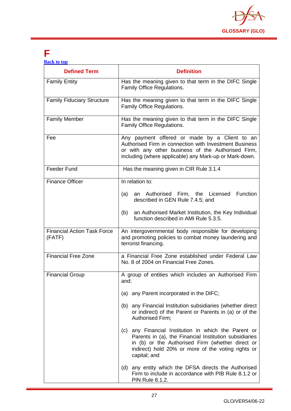

## **F**

| <b>Back to top</b> |  |  |
|--------------------|--|--|
|                    |  |  |
|                    |  |  |

| <b>Defined Term</b>                          | <b>Definition</b>                                                                                                                                                                                                                        |
|----------------------------------------------|------------------------------------------------------------------------------------------------------------------------------------------------------------------------------------------------------------------------------------------|
| <b>Family Entity</b>                         | Has the meaning given to that term in the DIFC Single<br>Family Office Regulations.                                                                                                                                                      |
| <b>Family Fiduciary Structure</b>            | Has the meaning given to that term in the DIFC Single<br>Family Office Regulations.                                                                                                                                                      |
| <b>Family Member</b>                         | Has the meaning given to that term in the DIFC Single<br>Family Office Regulations.                                                                                                                                                      |
| Fee                                          | Any payment offered or made by a Client to an<br>Authorised Firm in connection with Investment Business<br>or with any other business of the Authorised Firm,<br>including (where applicable) any Mark-up or Mark-down.                  |
| <b>Feeder Fund</b>                           | Has the meaning given in CIR Rule 3.1.4                                                                                                                                                                                                  |
| <b>Finance Officer</b>                       | In relation to:                                                                                                                                                                                                                          |
|                                              | an Authorised Firm, the Licensed<br>Function<br>(a)<br>described in GEN Rule 7.4.5; and                                                                                                                                                  |
|                                              | (b)<br>an Authorised Market Institution, the Key Individual<br>function described in AMI Rule 5.3.5.                                                                                                                                     |
| <b>Financial Action Task Force</b><br>(FATF) | An intergovernmental body responsible for developing<br>and promoting policies to combat money laundering and<br>terrorist financing.                                                                                                    |
| <b>Financial Free Zone</b>                   | a Financial Free Zone established under Federal Law<br>No. 8 of 2004 on Financial Free Zones.                                                                                                                                            |
| <b>Financial Group</b>                       | A group of entities which includes an Authorised Firm<br>and:                                                                                                                                                                            |
|                                              | (a) any Parent incorporated in the DIFC;                                                                                                                                                                                                 |
|                                              | (b) any Financial Institution subsidiaries (whether direct<br>or indirect) of the Parent or Parents in (a) or of the<br>Authorised Firm;                                                                                                 |
|                                              | (c) any Financial Institution in which the Parent or<br>Parents in (a), the Financial Institution subsidiaries<br>in (b) or the Authorised Firm (whether direct or<br>indirect) hold 20% or more of the voting rights or<br>capital; and |
|                                              | (d) any entity which the DFSA directs the Authorised<br>Firm to include in accordance with PIB Rule 8.1.2 or<br>PIN Rule 8.1.2.                                                                                                          |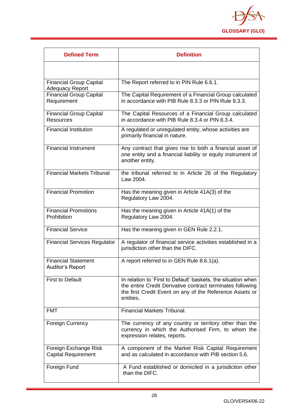

| <b>Defined Term</b>                                      | <b>Definition</b>                                                                                                                                                                                    |
|----------------------------------------------------------|------------------------------------------------------------------------------------------------------------------------------------------------------------------------------------------------------|
|                                                          |                                                                                                                                                                                                      |
| <b>Financial Group Capital</b><br><b>Adequacy Report</b> | The Report referred to in PIN Rule 6.6.1.                                                                                                                                                            |
| <b>Financial Group Capital</b><br>Requirement            | The Capital Requirement of a Financial Group calculated<br>in accordance with PIB Rule 8.3.3 or PIN Rule 8.3.3.                                                                                      |
| <b>Financial Group Capital</b><br><b>Resources</b>       | The Capital Resources of a Financial Group calculated<br>in accordance with PIB Rule 8.3.4 or PIN 8.3.4.                                                                                             |
| <b>Financial Institution</b>                             | A regulated or unregulated entity, whose activities are<br>primarily financial in nature.                                                                                                            |
| Financial Instrument                                     | Any contract that gives rise to both a financial asset of<br>one entity and a financial liability or equity instrument of<br>another entity.                                                         |
| <b>Financial Markets Tribunal</b>                        | the tribunal referred to in Article 26 of the Regulatory<br>Law 2004.                                                                                                                                |
| <b>Financial Promotion</b>                               | Has the meaning given in Article 41A(3) of the<br>Regulatory Law 2004.                                                                                                                               |
| <b>Financial Promotions</b><br>Prohibition               | Has the meaning given in Article 41A(1) of the<br>Regulatory Law 2004.                                                                                                                               |
| <b>Financial Service</b>                                 | Has the meaning given in GEN Rule 2.2.1.                                                                                                                                                             |
| <b>Financial Services Regulator</b>                      | A regulator of financial service activities established in a<br>jurisdiction other than the DIFC.                                                                                                    |
| <b>Financial Statement</b><br><b>Auditor's Report</b>    | A report referred to in GEN Rule 8.6.1(a).                                                                                                                                                           |
| <b>First to Default</b>                                  | In relation to 'First to Default' baskets, the situation when<br>the entire Credit Derivative contract terminates following<br>the first Credit Event on any of the Reference Assets or<br>entities. |
| <b>FMT</b>                                               | <b>Financial Markets Tribunal.</b>                                                                                                                                                                   |
| <b>Foreign Currency</b>                                  | The currency of any country or territory other than the<br>currency in which the Authorised Firm, to whom the<br>expression relates, reports.                                                        |
| Foreign Exchange Risk<br><b>Capital Requirement</b>      | A component of the Market Risk Capital Requirement<br>and as calculated in accordance with PIB section 5.6.                                                                                          |
| Foreign Fund                                             | A Fund established or domiciled in a jurisdiction other<br>than the DIFC.                                                                                                                            |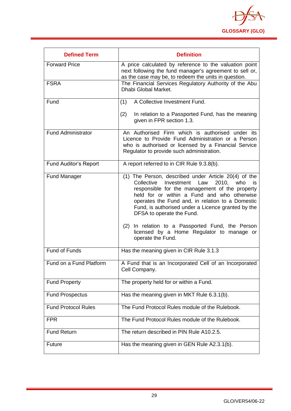

<span id="page-29-0"></span>

| <b>Defined Term</b>          | <b>Definition</b>                                                                                                                                                                                                                                                                                                                                                                                                                                       |
|------------------------------|---------------------------------------------------------------------------------------------------------------------------------------------------------------------------------------------------------------------------------------------------------------------------------------------------------------------------------------------------------------------------------------------------------------------------------------------------------|
| <b>Forward Price</b>         | A price calculated by reference to the valuation point<br>next following the fund manager's agreement to sell or,<br>as the case may be, to redeem the units in question.                                                                                                                                                                                                                                                                               |
| <b>FSRA</b>                  | The Financial Services Regulatory Authority of the Abu<br>Dhabi Global Market.                                                                                                                                                                                                                                                                                                                                                                          |
| Fund                         | A Collective Investment Fund.<br>(1)                                                                                                                                                                                                                                                                                                                                                                                                                    |
|                              | (2)<br>In relation to a Passported Fund, has the meaning<br>given in FPR section 1.3.                                                                                                                                                                                                                                                                                                                                                                   |
| <b>Fund Administrator</b>    | An Authorised Firm which is authorised under its<br>Licence to Provide Fund Administration or a Person<br>who is authorised or licensed by a Financial Service<br>Regulator to provide such administration.                                                                                                                                                                                                                                             |
| <b>Fund Auditor's Report</b> | A report referred to in CIR Rule 9.3.8(b).                                                                                                                                                                                                                                                                                                                                                                                                              |
| <b>Fund Manager</b>          | (1) The Person, described under Article 20(4) of the<br>Law<br>Collective<br>Investment<br>2010,<br>who<br>is.<br>responsible for the management of the property<br>held for or within a Fund and who otherwise<br>operates the Fund and, in relation to a Domestic<br>Fund, is authorised under a Licence granted by the<br>DFSA to operate the Fund.<br>(2) In relation to a Passported Fund, the Person<br>licensed by a Home Regulator to manage or |
|                              | operate the Fund.                                                                                                                                                                                                                                                                                                                                                                                                                                       |
| <b>Fund of Funds</b>         | Has the meaning given in CIR Rule 3.1.3                                                                                                                                                                                                                                                                                                                                                                                                                 |
| Fund on a Fund Platform      | A Fund that is an Incorporated Cell of an Incorporated<br>Cell Company.                                                                                                                                                                                                                                                                                                                                                                                 |
| <b>Fund Property</b>         | The property held for or within a Fund.                                                                                                                                                                                                                                                                                                                                                                                                                 |
| <b>Fund Prospectus</b>       | Has the meaning given in MKT Rule 6.3.1(b).                                                                                                                                                                                                                                                                                                                                                                                                             |
| <b>Fund Protocol Rules</b>   | The Fund Protocol Rules module of the Rulebook.                                                                                                                                                                                                                                                                                                                                                                                                         |
| <b>FPR</b>                   | The Fund Protocol Rules module of the Rulebook.                                                                                                                                                                                                                                                                                                                                                                                                         |
| <b>Fund Return</b>           | The return described in PIN Rule A10.2.5.                                                                                                                                                                                                                                                                                                                                                                                                               |
| Future                       | Has the meaning given in GEN Rule A2.3.1(b).                                                                                                                                                                                                                                                                                                                                                                                                            |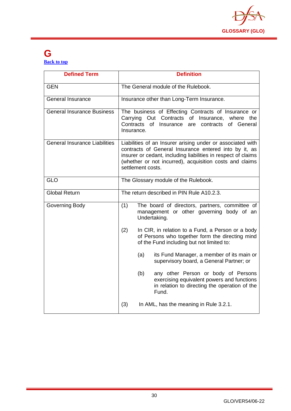

#### **G [Back to top](#page-1-0)**

| <b>Defined Term</b>                  | <b>Definition</b>                                                                                                                                                                                                                                                    |  |
|--------------------------------------|----------------------------------------------------------------------------------------------------------------------------------------------------------------------------------------------------------------------------------------------------------------------|--|
| <b>GEN</b>                           | The General module of the Rulebook.                                                                                                                                                                                                                                  |  |
| <b>General Insurance</b>             | Insurance other than Long-Term Insurance.                                                                                                                                                                                                                            |  |
| General Insurance Business           | The business of Effecting Contracts of Insurance or<br>Carrying Out Contracts of<br>Insurance, where the<br>Contracts<br>of Insurance<br>of General<br>are<br>contracts<br>Insurance.                                                                                |  |
| <b>General Insurance Liabilities</b> | Liabilities of an Insurer arising under or associated with<br>contracts of General Insurance entered into by it, as<br>insurer or cedant, including liabilities in respect of claims<br>(whether or not incurred), acquisition costs and claims<br>settlement costs. |  |
| <b>GLO</b>                           | The Glossary module of the Rulebook.                                                                                                                                                                                                                                 |  |
| <b>Global Return</b>                 | The return described in PIN Rule A10.2.3.                                                                                                                                                                                                                            |  |
| Governing Body                       | (1)<br>The board of directors, partners, committee of<br>management or other governing body of an<br>Undertaking.                                                                                                                                                    |  |
|                                      | (2)<br>In CIR, in relation to a Fund, a Person or a body<br>of Persons who together form the directing mind<br>of the Fund including but not limited to:                                                                                                             |  |
|                                      | (a)<br>its Fund Manager, a member of its main or<br>supervisory board, a General Partner; or                                                                                                                                                                         |  |
|                                      | any other Person or body of Persons<br>(b)<br>exercising equivalent powers and functions<br>in relation to directing the operation of the<br>Fund.                                                                                                                   |  |
|                                      | (3)<br>In AML, has the meaning in Rule 3.2.1.                                                                                                                                                                                                                        |  |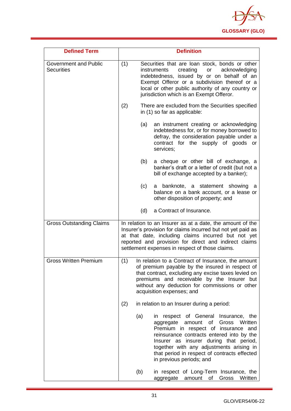

| <b>Defined Term</b>                               | <b>Definition</b>                                                                                                                                                                                                                                                                                      |                                                                                                                                                                                                                                                                                                                                             |  |
|---------------------------------------------------|--------------------------------------------------------------------------------------------------------------------------------------------------------------------------------------------------------------------------------------------------------------------------------------------------------|---------------------------------------------------------------------------------------------------------------------------------------------------------------------------------------------------------------------------------------------------------------------------------------------------------------------------------------------|--|
| <b>Government and Public</b><br><b>Securities</b> | (1)<br>Securities that are loan stock, bonds or other<br>creating<br>acknowledging<br>instruments<br>or<br>indebtedness, issued by or on behalf of an<br>Exempt Offeror or a subdivision thereof or a<br>local or other public authority of any country or<br>jurisdiction which is an Exempt Offeror. |                                                                                                                                                                                                                                                                                                                                             |  |
|                                                   | (2)                                                                                                                                                                                                                                                                                                    | There are excluded from the Securities specified<br>in (1) so far as applicable:                                                                                                                                                                                                                                                            |  |
|                                                   | (a)                                                                                                                                                                                                                                                                                                    | an instrument creating or acknowledging<br>indebtedness for, or for money borrowed to<br>defray, the consideration payable under a<br>contract for the supply of goods or<br>services;                                                                                                                                                      |  |
|                                                   | (b)                                                                                                                                                                                                                                                                                                    | a cheque or other bill of exchange, a<br>banker's draft or a letter of credit (but not a<br>bill of exchange accepted by a banker);                                                                                                                                                                                                         |  |
|                                                   | (c)                                                                                                                                                                                                                                                                                                    | a banknote, a statement showing<br>a<br>balance on a bank account, or a lease or<br>other disposition of property; and                                                                                                                                                                                                                      |  |
|                                                   | (d)                                                                                                                                                                                                                                                                                                    | a Contract of Insurance.                                                                                                                                                                                                                                                                                                                    |  |
| <b>Gross Outstanding Claims</b>                   |                                                                                                                                                                                                                                                                                                        | In relation to an Insurer as at a date, the amount of the<br>Insurer's provision for claims incurred but not yet paid as<br>at that date, including claims incurred but not yet<br>reported and provision for direct and indirect claims<br>settlement expenses in respect of those claims.                                                 |  |
| <b>Gross Written Premium</b>                      | (1)<br>In relation to a Contract of Insurance, the amount<br>of premium payable by the insured in respect of<br>that contract, excluding any excise taxes levied on<br>premiums and receivable by the Insurer but<br>without any deduction for commissions or other<br>acquisition expenses; and       |                                                                                                                                                                                                                                                                                                                                             |  |
|                                                   | (2)                                                                                                                                                                                                                                                                                                    | in relation to an Insurer during a period:                                                                                                                                                                                                                                                                                                  |  |
|                                                   | (a)                                                                                                                                                                                                                                                                                                    | in respect of General Insurance, the<br>Gross<br>Written<br>aggregate<br>amount<br>of<br>Premium in respect of insurance and<br>reinsurance contracts entered into by the<br>Insurer as insurer during that period,<br>together with any adjustments arising in<br>that period in respect of contracts effected<br>in previous periods; and |  |
|                                                   | (b)                                                                                                                                                                                                                                                                                                    | in respect of Long-Term Insurance, the<br>Gross<br>Written<br>aggregate<br>amount<br>of                                                                                                                                                                                                                                                     |  |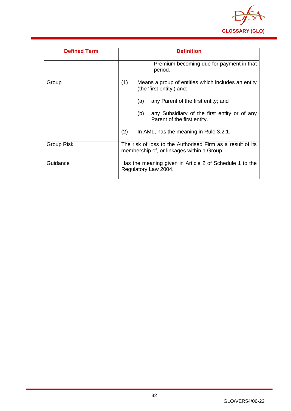

| <b>Defined Term</b> | <b>Definition</b>                                                                                        |  |
|---------------------|----------------------------------------------------------------------------------------------------------|--|
|                     | Premium becoming due for payment in that<br>period.                                                      |  |
| Group               | (1)<br>Means a group of entities which includes an entity<br>(the 'first entity') and:                   |  |
|                     | any Parent of the first entity; and<br>(a)                                                               |  |
|                     | (b)<br>any Subsidiary of the first entity or of any<br>Parent of the first entity.                       |  |
|                     | (2)<br>In AML, has the meaning in Rule 3.2.1.                                                            |  |
| Group Risk          | The risk of loss to the Authorised Firm as a result of its<br>membership of, or linkages within a Group. |  |
| Guidance            | Has the meaning given in Article 2 of Schedule 1 to the<br>Regulatory Law 2004.                          |  |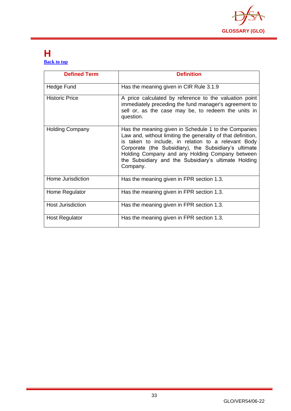

#### <span id="page-33-0"></span>**H [Back to top](#page-1-0)**

| <b>Defined Term</b>      | <b>Definition</b>                                                                                                                                                                                                                                                                                                                                           |
|--------------------------|-------------------------------------------------------------------------------------------------------------------------------------------------------------------------------------------------------------------------------------------------------------------------------------------------------------------------------------------------------------|
| Hedge Fund               | Has the meaning given in CIR Rule 3.1.9                                                                                                                                                                                                                                                                                                                     |
| <b>Historic Price</b>    | A price calculated by reference to the valuation point<br>immediately preceding the fund manager's agreement to<br>sell or, as the case may be, to redeem the units in<br>question.                                                                                                                                                                         |
| <b>Holding Company</b>   | Has the meaning given in Schedule 1 to the Companies<br>Law and, without limiting the generality of that definition,<br>is taken to include, in relation to a relevant Body<br>Corporate (the Subsidiary), the Subsidiary's ultimate<br>Holding Company and any Holding Company between<br>the Subsidiary and the Subsidiary's ultimate Holding<br>Company. |
| Home Jurisdiction        | Has the meaning given in FPR section 1.3.                                                                                                                                                                                                                                                                                                                   |
| Home Regulator           | Has the meaning given in FPR section 1.3.                                                                                                                                                                                                                                                                                                                   |
| <b>Host Jurisdiction</b> | Has the meaning given in FPR section 1.3.                                                                                                                                                                                                                                                                                                                   |
| <b>Host Regulator</b>    | Has the meaning given in FPR section 1.3.                                                                                                                                                                                                                                                                                                                   |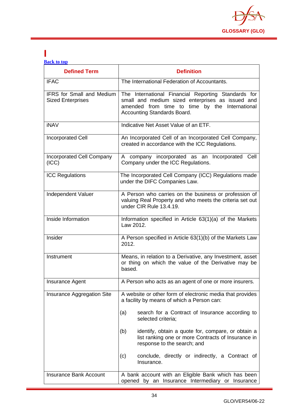

#### <span id="page-34-0"></span>**I [Back to top](#page-1-0)**

| <b>Defined Term</b>                                          | <b>Definition</b>                                                                                                                                                                        |
|--------------------------------------------------------------|------------------------------------------------------------------------------------------------------------------------------------------------------------------------------------------|
| <b>IFAC</b>                                                  | The International Federation of Accountants.                                                                                                                                             |
| <b>IFRS</b> for Small and Medium<br><b>Sized Enterprises</b> | The International Financial Reporting Standards for<br>small and medium sized enterprises as issued and<br>amended from time to time by the International<br>Accounting Standards Board. |
| <b>iNAV</b>                                                  | Indicative Net Asset Value of an ETF.                                                                                                                                                    |
| <b>Incorporated Cell</b>                                     | An Incorporated Cell of an Incorporated Cell Company,<br>created in accordance with the ICC Regulations.                                                                                 |
| <b>Incorporated Cell Company</b><br>(ICC)                    | A company incorporated as an Incorporated Cell<br>Company under the ICC Regulations.                                                                                                     |
| <b>ICC Regulations</b>                                       | The Incorporated Cell Company (ICC) Regulations made<br>under the DIFC Companies Law.                                                                                                    |
| Independent Valuer                                           | A Person who carries on the business or profession of<br>valuing Real Property and who meets the criteria set out<br>under CIR Rule 13.4.19.                                             |
| Inside Information                                           | Information specified in Article 63(1)(a) of the Markets<br>Law 2012.                                                                                                                    |
| Insider                                                      | A Person specified in Article 63(1)(b) of the Markets Law<br>2012.                                                                                                                       |
| Instrument                                                   | Means, in relation to a Derivative, any Investment, asset<br>or thing on which the value of the Derivative may be<br>based.                                                              |
| Insurance Agent                                              | A Person who acts as an agent of one or more insurers.                                                                                                                                   |
| Insurance Aggregation Site                                   | A website or other form of electronic media that provides<br>a facility by means of which a Person can:                                                                                  |
|                                                              | search for a Contract of Insurance according to<br>(a)<br>selected criteria;                                                                                                             |
|                                                              | (b)<br>identify, obtain a quote for, compare, or obtain a<br>list ranking one or more Contracts of Insurance in<br>response to the search; and                                           |
|                                                              | conclude, directly or indirectly, a Contract of<br>(c)<br>Insurance.                                                                                                                     |
| <b>Insurance Bank Account</b>                                | A bank account with an Eligible Bank which has been<br>opened by an Insurance Intermediary or Insurance                                                                                  |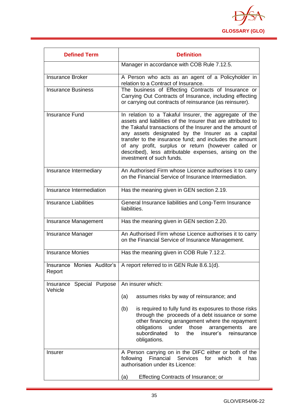

| <b>Defined Term</b>       | <b>Definition</b>                                                                                                                                                                                                                                                                                                                                                                                                                                 |  |  |
|---------------------------|---------------------------------------------------------------------------------------------------------------------------------------------------------------------------------------------------------------------------------------------------------------------------------------------------------------------------------------------------------------------------------------------------------------------------------------------------|--|--|
|                           | Manager in accordance with COB Rule 7.12.5.                                                                                                                                                                                                                                                                                                                                                                                                       |  |  |
| <b>Insurance Broker</b>   | A Person who acts as an agent of a Policyholder in<br>relation to a Contract of Insurance.                                                                                                                                                                                                                                                                                                                                                        |  |  |
| <b>Insurance Business</b> | The business of Effecting Contracts of Insurance or<br>Carrying Out Contracts of Insurance, including effecting<br>or carrying out contracts of reinsurance (as reinsurer).                                                                                                                                                                                                                                                                       |  |  |
| <b>Insurance Fund</b>     | In relation to a Takaful Insurer, the aggregate of the<br>assets and liabilities of the Insurer that are attributed to<br>the Takaful transactions of the Insurer and the amount of<br>any assets designated by the Insurer as a capital<br>transfer to the insurance fund; and includes the amount<br>of any profit, surplus or return (however called or<br>described), less attributable expenses, arising on the<br>investment of such funds. |  |  |
| Insurance Intermediary    | An Authorised Firm whose Licence authorises it to carry<br>on the Financial Service of Insurance Intermediation.                                                                                                                                                                                                                                                                                                                                  |  |  |
| Insurance Intermediation  | Has the meaning given in GEN section 2.19.                                                                                                                                                                                                                                                                                                                                                                                                        |  |  |
| Insurance Liabilities     | General Insurance liabilities and Long-Term Insurance<br>liabilities.                                                                                                                                                                                                                                                                                                                                                                             |  |  |
| Insurance Management      | Has the meaning given in GEN section 2.20.                                                                                                                                                                                                                                                                                                                                                                                                        |  |  |
| Insurance Manager         | An Authorised Firm whose Licence authorises it to carry<br>on the Financial Service of Insurance Management.                                                                                                                                                                                                                                                                                                                                      |  |  |
| <b>Insurance Monies</b>   | Has the meaning given in COB Rule 7.12.2.                                                                                                                                                                                                                                                                                                                                                                                                         |  |  |
| Report                    | Insurance Monies Auditor's   A report referred to in GEN Rule 8.6.1(d).                                                                                                                                                                                                                                                                                                                                                                           |  |  |
| Insurance Special Purpose | An insurer which:                                                                                                                                                                                                                                                                                                                                                                                                                                 |  |  |
| Vehicle                   | (a)<br>assumes risks by way of reinsurance; and                                                                                                                                                                                                                                                                                                                                                                                                   |  |  |
|                           | (b)<br>is required to fully fund its exposures to those risks<br>through the proceeds of a debt issuance or some<br>other financing arrangement where the repayment<br>obligations<br>under<br>those<br>arrangements<br>are<br>subordinated<br>insurer's<br>the<br>reinsurance<br>to<br>obligations.                                                                                                                                              |  |  |
| <b>Insurer</b>            | A Person carrying on in the DIFC either or both of the<br>Financial<br>Services<br>following<br>for<br>which<br>it<br>has<br>authorisation under its Licence:                                                                                                                                                                                                                                                                                     |  |  |
|                           | <b>Effecting Contracts of Insurance; or</b><br>(a)                                                                                                                                                                                                                                                                                                                                                                                                |  |  |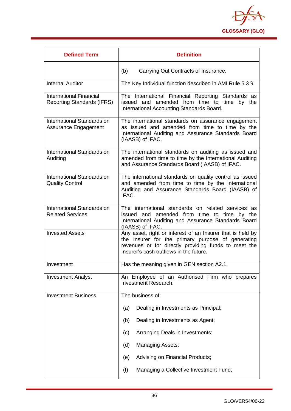

| <b>Defined Term</b>                                                 | <b>Definition</b>                                                                                                                                                                                                 |
|---------------------------------------------------------------------|-------------------------------------------------------------------------------------------------------------------------------------------------------------------------------------------------------------------|
|                                                                     | (b)<br>Carrying Out Contracts of Insurance.                                                                                                                                                                       |
| <b>Internal Auditor</b>                                             | The Key Individual function described in AMI Rule 5.3.9.                                                                                                                                                          |
| <b>International Financial</b><br><b>Reporting Standards (IFRS)</b> | The International Financial Reporting Standards as<br>issued and amended from time to time by the<br>International Accounting Standards Board.                                                                    |
| International Standards on<br>Assurance Engagement                  | The international standards on assurance engagement<br>as issued and amended from time to time by the<br>International Auditing and Assurance Standards Board<br>(IAASB) of IFAC.                                 |
| International Standards on<br>Auditing                              | The international standards on auditing as issued and<br>amended from time to time by the International Auditing<br>and Assurance Standards Board (IAASB) of IFAC.                                                |
| International Standards on<br><b>Quality Control</b>                | The international standards on quality control as issued<br>and amended from time to time by the International<br>Auditing and Assurance Standards Board (IAASB) of<br>IFAC.                                      |
| International Standards on<br><b>Related Services</b>               | The international standards on related services as<br>issued and amended from time to time by the<br>International Auditing and Assurance Standards Board<br>(IAASB) of IFAC.                                     |
| <b>Invested Assets</b>                                              | Any asset, right or interest of an Insurer that is held by<br>the Insurer for the primary purpose of generating<br>revenues or for directly providing funds to meet the<br>Insurer's cash outflows in the future. |
| Investment                                                          | Has the meaning given in GEN section A2.1.                                                                                                                                                                        |
| <b>Investment Analyst</b>                                           | An Employee of an Authorised Firm who prepares<br><b>Investment Research.</b>                                                                                                                                     |
| <b>Investment Business</b>                                          | The business of:                                                                                                                                                                                                  |
|                                                                     | Dealing in Investments as Principal;<br>(a)                                                                                                                                                                       |
|                                                                     | Dealing in Investments as Agent;<br>(b)                                                                                                                                                                           |
|                                                                     | Arranging Deals in Investments;<br>(c)                                                                                                                                                                            |
|                                                                     | (d)<br><b>Managing Assets;</b>                                                                                                                                                                                    |
|                                                                     | Advising on Financial Products;<br>(e)                                                                                                                                                                            |
|                                                                     | (f)<br>Managing a Collective Investment Fund;                                                                                                                                                                     |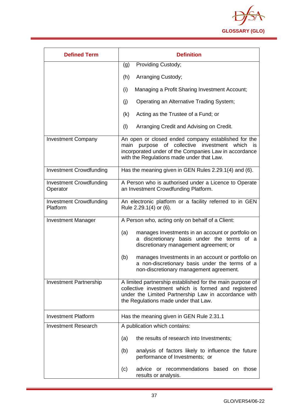

| <b>Defined Term</b>                        | <b>Definition</b>                                                                                                                                                                                                  |
|--------------------------------------------|--------------------------------------------------------------------------------------------------------------------------------------------------------------------------------------------------------------------|
|                                            | <b>Providing Custody;</b><br>(g)                                                                                                                                                                                   |
|                                            | (h)<br>Arranging Custody;                                                                                                                                                                                          |
|                                            | (i)<br>Managing a Profit Sharing Investment Account;                                                                                                                                                               |
|                                            | (j)<br>Operating an Alternative Trading System;                                                                                                                                                                    |
|                                            | Acting as the Trustee of a Fund; or<br>(k)                                                                                                                                                                         |
|                                            | (1)<br>Arranging Credit and Advising on Credit.                                                                                                                                                                    |
| <b>Investment Company</b>                  | An open or closed ended company established for the<br>purpose of collective investment which<br>main<br>is.<br>incorporated under of the Companies Law in accordance<br>with the Regulations made under that Law. |
| <b>Investment Crowdfunding</b>             | Has the meaning given in GEN Rules 2.29.1(4) and (6).                                                                                                                                                              |
| <b>Investment Crowdfunding</b><br>Operator | A Person who is authorised under a Licence to Operate<br>an Investment Crowdfunding Platform.                                                                                                                      |
| <b>Investment Crowdfunding</b><br>Platform | An electronic platform or a facility referred to in GEN<br>Rule 2.29.1(4) or (6).                                                                                                                                  |
| <b>Investment Manager</b>                  | A Person who, acting only on behalf of a Client:                                                                                                                                                                   |
|                                            | manages Investments in an account or portfolio on<br>(a)<br>discretionary basis under the terms of a<br>discretionary management agreement; or                                                                     |
|                                            | (b)<br>manages Investments in an account or portfolio on<br>a non-discretionary basis under the terms of a<br>non-discretionary management agreement.                                                              |
| <b>Investment Partnership</b>              | A limited partnership established for the main purpose of<br>collective investment which is formed and registered<br>under the Limited Partnership Law in accordance with<br>the Regulations made under that Law.  |
| <b>Investment Platform</b>                 | Has the meaning given in GEN Rule 2.31.1                                                                                                                                                                           |
| <b>Investment Research</b>                 | A publication which contains:                                                                                                                                                                                      |
|                                            | the results of research into Investments;<br>(a)                                                                                                                                                                   |
|                                            | analysis of factors likely to influence the future<br>(b)<br>performance of Investments; or                                                                                                                        |
|                                            | or recommendations based on<br>(c)<br>advice<br>those<br>results or analysis.                                                                                                                                      |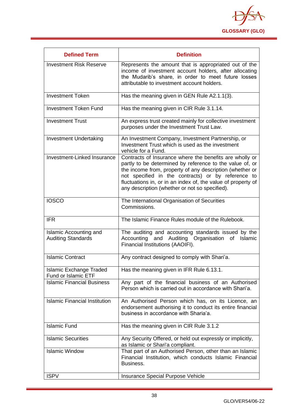

| <b>Defined Term</b>                                   | <b>Definition</b>                                                                                                                                                                                                                                                                                                                                       |
|-------------------------------------------------------|---------------------------------------------------------------------------------------------------------------------------------------------------------------------------------------------------------------------------------------------------------------------------------------------------------------------------------------------------------|
| <b>Investment Risk Reserve</b>                        | Represents the amount that is appropriated out of the<br>income of investment account holders, after allocating<br>the Mudarib's share, in order to meet future losses<br>attributable to investment account holders.                                                                                                                                   |
| <b>Investment Token</b>                               | Has the meaning given in GEN Rule A2.1.1(3).                                                                                                                                                                                                                                                                                                            |
| <b>Investment Token Fund</b>                          | Has the meaning given in CIR Rule 3.1.14.                                                                                                                                                                                                                                                                                                               |
| <b>Investment Trust</b>                               | An express trust created mainly for collective investment<br>purposes under the Investment Trust Law.                                                                                                                                                                                                                                                   |
| <b>Investment Undertaking</b>                         | An Investment Company, Investment Partnership, or<br>Investment Trust which is used as the investment<br>vehicle for a Fund.                                                                                                                                                                                                                            |
| Investment-Linked Insurance                           | Contracts of Insurance where the benefits are wholly or<br>partly to be determined by reference to the value of, or<br>the income from, property of any description (whether or<br>not specified in the contracts) or by reference to<br>fluctuations in, or in an index of, the value of property of<br>any description (whether or not so specified). |
| <b>IOSCO</b>                                          | The International Organisation of Securities<br>Commissions.                                                                                                                                                                                                                                                                                            |
| <b>IFR</b>                                            | The Islamic Finance Rules module of the Rulebook.                                                                                                                                                                                                                                                                                                       |
| Islamic Accounting and<br><b>Auditing Standards</b>   | The auditing and accounting standards issued by the<br>Accounting and Auditing Organisation of<br>Islamic<br>Financial Institutions (AAOIFI).                                                                                                                                                                                                           |
| <b>Islamic Contract</b>                               | Any contract designed to comply with Shari'a.                                                                                                                                                                                                                                                                                                           |
| <b>Islamic Exchange Traded</b><br>Fund or Islamic ETF | Has the meaning given in IFR Rule 6.13.1.                                                                                                                                                                                                                                                                                                               |
| <b>Islamic Financial Business</b>                     | Any part of the financial business of an Authorised<br>Person which is carried out in accordance with Shari'a.                                                                                                                                                                                                                                          |
| <b>Islamic Financial Institution</b>                  | An Authorised Person which has, on its Licence, an<br>endorsement authorising it to conduct its entire financial<br>business in accordance with Sharia'a.                                                                                                                                                                                               |
| <b>Islamic Fund</b>                                   | Has the meaning given in CIR Rule 3.1.2                                                                                                                                                                                                                                                                                                                 |
| <b>Islamic Securities</b>                             | Any Security Offered, or held out expressly or implicitly,<br>as Islamic or Shari'a compliant.                                                                                                                                                                                                                                                          |
| <b>Islamic Window</b>                                 | That part of an Authorised Person, other than an Islamic<br>Financial Institution, which conducts Islamic Financial<br>Business.                                                                                                                                                                                                                        |
| <b>ISPV</b>                                           | Insurance Special Purpose Vehicle                                                                                                                                                                                                                                                                                                                       |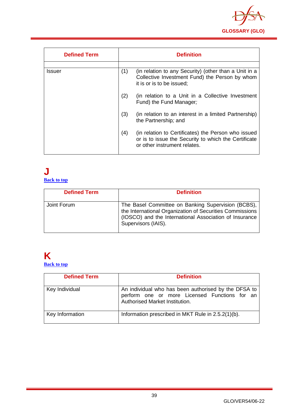

| <b>Defined Term</b> |     | <b>Definition</b>                                                                                                                           |
|---------------------|-----|---------------------------------------------------------------------------------------------------------------------------------------------|
|                     |     |                                                                                                                                             |
| Issuer              | (1) | (in relation to any Security) (other than a Unit in a<br>Collective Investment Fund) the Person by whom<br>it is or is to be issued;        |
|                     | (2) | (in relation to a Unit in a Collective Investment<br>Fund) the Fund Manager;                                                                |
|                     | (3) | (in relation to an interest in a limited Partnership)<br>the Partnership; and                                                               |
|                     | (4) | (in relation to Certificates) the Person who issued<br>or is to issue the Security to which the Certificate<br>or other instrument relates. |

#### **J [Back to top](#page-1-0)**

| <b>Defined Term</b> | <b>Definition</b>                                                                                                                                                                               |
|---------------------|-------------------------------------------------------------------------------------------------------------------------------------------------------------------------------------------------|
| Joint Forum         | The Basel Committee on Banking Supervision (BCBS),<br>the International Organization of Securities Commissions<br>(IOSCO) and the International Association of Insurance<br>Supervisors (IAIS). |

### **K [Back to top](#page-1-0)**

| <b>Defined Term</b> | <b>Definition</b>                                                                                                                       |
|---------------------|-----------------------------------------------------------------------------------------------------------------------------------------|
| Key Individual      | An individual who has been authorised by the DFSA to<br>perform one or more Licensed Functions for an<br>Authorised Market Institution. |
| Key Information     | Information prescribed in MKT Rule in 2.5.2(1)(b).                                                                                      |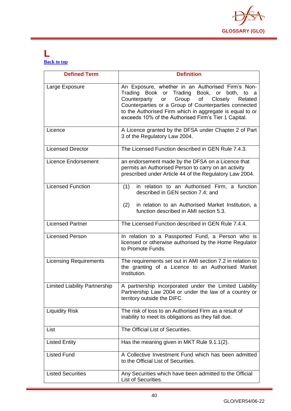

### **L [Back to top](#page-1-0)**

| <b>Defined Term</b>                  | <b>Definition</b>                                                                                                                                                                                                                                                                                                                        |
|--------------------------------------|------------------------------------------------------------------------------------------------------------------------------------------------------------------------------------------------------------------------------------------------------------------------------------------------------------------------------------------|
| Large Exposure                       | An Exposure, whether in an Authorised Firm's Non-<br>Trading Book or Trading Book, or both, to a<br>of<br>Counterparty<br>Group<br>Closely<br>Related<br>or<br>Counterparties or a Group of Counterparties connected<br>to the Authorised Firm which in aggregate is equal to or<br>exceeds 10% of the Authorised Firm's Tier 1 Capital. |
| Licence                              | A Licence granted by the DFSA under Chapter 2 of Part<br>3 of the Regulatory Law 2004.                                                                                                                                                                                                                                                   |
| <b>Licensed Director</b>             | The Licensed Function described in GEN Rule 7.4.3.                                                                                                                                                                                                                                                                                       |
| <b>Licence Endorsement</b>           | an endorsement made by the DFSA on a Licence that<br>permits an Authorised Person to carry on an activity<br>prescribed under Article 44 of the Regulatory Law 2004.                                                                                                                                                                     |
| Licensed Function                    | in relation to an Authorised Firm, a function<br>(1)<br>described in GEN section 7.4; and<br>(2)<br>in relation to an Authorised Market Institution, a<br>function described in AMI section 5.3.                                                                                                                                         |
| <b>Licensed Partner</b>              | The Licensed Function described in GEN Rule 7.4.4.                                                                                                                                                                                                                                                                                       |
| <b>Licensed Person</b>               | In relation to a Passported Fund, a Person who is<br>licensed or otherwise authorised by the Home Regulator<br>to Promote Funds.                                                                                                                                                                                                         |
| <b>Licensing Requirements</b>        | The requirements set out in AMI section 7.2 in relation to<br>the granting of a Licence to an Authorised Market<br>Institution.                                                                                                                                                                                                          |
| <b>Limited Liability Partnership</b> | A partnership incorporated under the Limited Liability<br>Partnership Law 2004 or under the law of a country or<br>territory outside the DIFC.                                                                                                                                                                                           |
| <b>Liquidity Risk</b>                | The risk of loss to an Authorised Firm as a result of<br>inability to meet its obligations as they fall due.                                                                                                                                                                                                                             |
| List                                 | The Official List of Securities.                                                                                                                                                                                                                                                                                                         |
| <b>Listed Entity</b>                 | Has the meaning given in MKT Rule 9.1.1(2).                                                                                                                                                                                                                                                                                              |
| <b>Listed Fund</b>                   | A Collective Investment Fund which has been admitted<br>to the Official List of Securities.                                                                                                                                                                                                                                              |
| <b>Listed Securities</b>             | Any Securities which have been admitted to the Official<br>List of Securities.                                                                                                                                                                                                                                                           |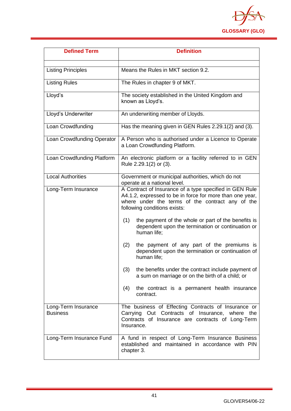

| <b>Defined Term</b>                    | <b>Definition</b>                                                                                                                                                                                                                                                                                                                         |
|----------------------------------------|-------------------------------------------------------------------------------------------------------------------------------------------------------------------------------------------------------------------------------------------------------------------------------------------------------------------------------------------|
| <b>Listing Principles</b>              | Means the Rules in MKT section 9.2.                                                                                                                                                                                                                                                                                                       |
| <b>Listing Rules</b>                   | The Rules in chapter 9 of MKT.                                                                                                                                                                                                                                                                                                            |
| Lloyd's                                | The society established in the United Kingdom and<br>known as Lloyd's.                                                                                                                                                                                                                                                                    |
| Lloyd's Underwriter                    | An underwriting member of Lloyds.                                                                                                                                                                                                                                                                                                         |
| Loan Crowdfunding                      | Has the meaning given in GEN Rules 2.29.1(2) and (3).                                                                                                                                                                                                                                                                                     |
| Loan Crowdfunding Operator             | A Person who is authorised under a Licence to Operate<br>a Loan Crowdfunding Platform.                                                                                                                                                                                                                                                    |
| Loan Crowdfunding Platform             | An electronic platform or a facility referred to in GEN<br>Rule 2.29.1(2) or (3).                                                                                                                                                                                                                                                         |
| <b>Local Authorities</b>               | Government or municipal authorities, which do not<br>operate at a national level.                                                                                                                                                                                                                                                         |
| Long-Term Insurance                    | A Contract of Insurance of a type specified in GEN Rule<br>A4.1.2, expressed to be in force for more than one year,<br>where under the terms of the contract any of the<br>following conditions exists:<br>the payment of the whole or part of the benefits is<br>(1)<br>dependent upon the termination or continuation or<br>human life; |
|                                        | (2)<br>the payment of any part of the premiums is<br>dependent upon the termination or continuation of<br>human life;                                                                                                                                                                                                                     |
|                                        | (3)<br>the benefits under the contract include payment of<br>a sum on marriage or on the birth of a child; or                                                                                                                                                                                                                             |
|                                        | the contract is a permanent health insurance<br>(4)<br>contract.                                                                                                                                                                                                                                                                          |
| Long-Term Insurance<br><b>Business</b> | The business of Effecting Contracts of Insurance or<br>Carrying Out Contracts of Insurance, where<br>the<br>Contracts of Insurance are contracts of Long-Term<br>Insurance.                                                                                                                                                               |
| Long-Term Insurance Fund               | A fund in respect of Long-Term Insurance Business<br>established and maintained in accordance with PIN<br>chapter 3.                                                                                                                                                                                                                      |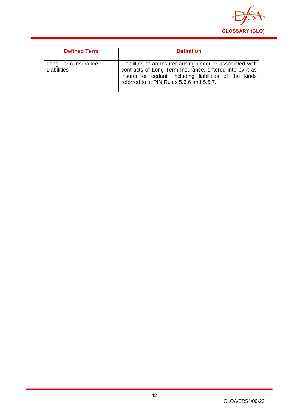

| <b>Defined Term</b>                | <b>Definition</b>                                                                                                                                                                                                           |
|------------------------------------|-----------------------------------------------------------------------------------------------------------------------------------------------------------------------------------------------------------------------------|
| Long-Term Insurance<br>Liabilities | Liabilities of an Insurer arising under or associated with<br>contracts of Long-Term Insurance, entered into by it as<br>insurer or cedant, including liabilities of the kinds<br>referred to in PIN Rules 5.6.6 and 5.6.7. |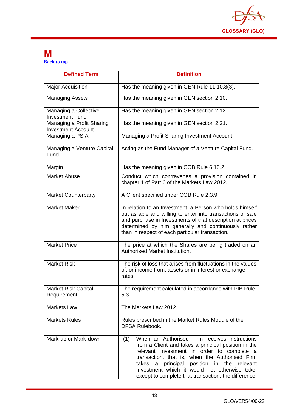

### **M [Back to top](#page-1-0)**

| <b>Defined Term</b>                                    | <b>Definition</b>                                                                                                                                                                                                                                                                                                                                                           |
|--------------------------------------------------------|-----------------------------------------------------------------------------------------------------------------------------------------------------------------------------------------------------------------------------------------------------------------------------------------------------------------------------------------------------------------------------|
| <b>Major Acquisition</b>                               | Has the meaning given in GEN Rule 11.10.8(3).                                                                                                                                                                                                                                                                                                                               |
| <b>Managing Assets</b>                                 | Has the meaning given in GEN section 2.10.                                                                                                                                                                                                                                                                                                                                  |
| Managing a Collective<br><b>Investment Fund</b>        | Has the meaning given in GEN section 2.12.                                                                                                                                                                                                                                                                                                                                  |
| Managing a Profit Sharing<br><b>Investment Account</b> | Has the meaning given in GEN section 2.21.                                                                                                                                                                                                                                                                                                                                  |
| Managing a PSIA                                        | Managing a Profit Sharing Investment Account.                                                                                                                                                                                                                                                                                                                               |
| Managing a Venture Capital<br>Fund                     | Acting as the Fund Manager of a Venture Capital Fund.                                                                                                                                                                                                                                                                                                                       |
| Margin                                                 | Has the meaning given in COB Rule 6.16.2.                                                                                                                                                                                                                                                                                                                                   |
| <b>Market Abuse</b>                                    | Conduct which contravenes a provision contained in<br>chapter 1 of Part 6 of the Markets Law 2012.                                                                                                                                                                                                                                                                          |
| <b>Market Counterparty</b>                             | A Client specified under COB Rule 2.3.9.                                                                                                                                                                                                                                                                                                                                    |
| <b>Market Maker</b>                                    | In relation to an Investment, a Person who holds himself<br>out as able and willing to enter into transactions of sale<br>and purchase in Investments of that description at prices<br>determined by him generally and continuously rather<br>than in respect of each particular transaction.                                                                               |
| <b>Market Price</b>                                    | The price at which the Shares are being traded on an<br>Authorised Market Institution.                                                                                                                                                                                                                                                                                      |
| <b>Market Risk</b>                                     | The risk of loss that arises from fluctuations in the values<br>of, or income from, assets or in interest or exchange<br>rates.                                                                                                                                                                                                                                             |
| Market Risk Capital<br>Requirement                     | The requirement calculated in accordance with PIB Rule<br>5.3.1.                                                                                                                                                                                                                                                                                                            |
| <b>Markets Law</b>                                     | The Markets Law 2012                                                                                                                                                                                                                                                                                                                                                        |
| <b>Markets Rules</b>                                   | Rules prescribed in the Market Rules Module of the<br><b>DFSA Rulebook.</b>                                                                                                                                                                                                                                                                                                 |
| Mark-up or Mark-down                                   | When an Authorised Firm receives instructions<br>(1)<br>from a Client and takes a principal position in the<br>relevant Investment in order to complete a<br>transaction, that is, when the Authorised Firm<br>principal position in the<br>takes<br>a<br>relevant<br>Investment which it would not otherwise take,<br>except to complete that transaction, the difference, |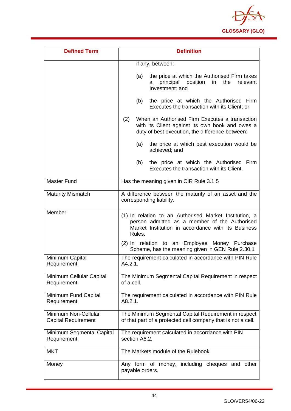

| <b>Defined Term</b>                                | <b>Definition</b>                                                                                                                                                       |
|----------------------------------------------------|-------------------------------------------------------------------------------------------------------------------------------------------------------------------------|
|                                                    | if any, between:                                                                                                                                                        |
|                                                    | the price at which the Authorised Firm takes<br>(a)<br>position<br>in<br>the<br>principal<br>relevant<br>а<br>Investment; and                                           |
|                                                    | the price at which the Authorised Firm<br>(b)<br>Executes the transaction with its Client; or                                                                           |
|                                                    | When an Authorised Firm Executes a transaction<br>(2)<br>with its Client against its own book and owes a<br>duty of best execution, the difference between:             |
|                                                    | the price at which best execution would be<br>(a)<br>achieved; and                                                                                                      |
|                                                    | the price at which the Authorised Firm<br>(b)<br>Executes the transaction with its Client.                                                                              |
| <b>Master Fund</b>                                 | Has the meaning given in CIR Rule 3.1.5                                                                                                                                 |
| <b>Maturity Mismatch</b>                           | A difference between the maturity of an asset and the<br>corresponding liability.                                                                                       |
| Member                                             | (1) In relation to an Authorised Market Institution, a<br>person admitted as a member of the Authorised<br>Market Institution in accordance with its Business<br>Rules. |
|                                                    | (2) In relation to an Employee Money Purchase<br>Scheme, has the meaning given in GEN Rule 2.30.1                                                                       |
| Minimum Capital<br>Requirement                     | The requirement calculated in accordance with PIN Rule<br>$A4.2.1$ .                                                                                                    |
| Minimum Cellular Capital<br>Requirement            | The Minimum Segmental Capital Requirement in respect<br>of a cell.                                                                                                      |
| Minimum Fund Capital<br>Requirement                | The requirement calculated in accordance with PIN Rule<br>A8.2.1.                                                                                                       |
| Minimum Non-Cellular<br><b>Capital Requirement</b> | The Minimum Segmental Capital Requirement in respect<br>of that part of a protected cell company that is not a cell.                                                    |
| Minimum Segmental Capital<br>Requirement           | The requirement calculated in accordance with PIN<br>section A6.2.                                                                                                      |
| <b>MKT</b>                                         | The Markets module of the Rulebook.                                                                                                                                     |
| Money                                              | Any form of money, including cheques and other<br>payable orders.                                                                                                       |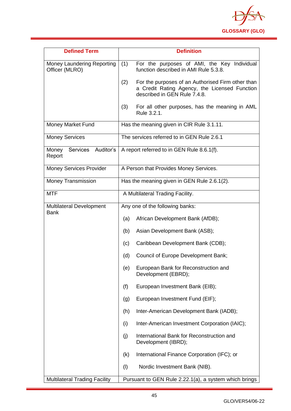

| <b>Defined Term</b>                            | <b>Definition</b>                                                                                                                         |
|------------------------------------------------|-------------------------------------------------------------------------------------------------------------------------------------------|
| Money Laundering Reporting<br>Officer (MLRO)   | For the purposes of AMI, the Key Individual<br>(1)<br>function described in AMI Rule 5.3.8.                                               |
|                                                | For the purposes of an Authorised Firm other than<br>(2)<br>a Credit Rating Agency, the Licensed Function<br>described in GEN Rule 7.4.8. |
|                                                | For all other purposes, has the meaning in AML<br>(3)<br>Rule 3.2.1.                                                                      |
| Money Market Fund                              | Has the meaning given in CIR Rule 3.1.11.                                                                                                 |
| <b>Money Services</b>                          | The services referred to in GEN Rule 2.6.1                                                                                                |
| Services<br>Auditor's<br>Money<br>Report       | A report referred to in GEN Rule 8.6.1(f).                                                                                                |
| <b>Money Services Provider</b>                 | A Person that Provides Money Services.                                                                                                    |
| <b>Money Transmission</b>                      | Has the meaning given in GEN Rule 2.6.1(2).                                                                                               |
| <b>MTF</b>                                     | A Multilateral Trading Facility.                                                                                                          |
| <b>Multilateral Development</b><br><b>Bank</b> | Any one of the following banks:                                                                                                           |
|                                                | African Development Bank (AfDB);<br>(a)                                                                                                   |
|                                                | (b)<br>Asian Development Bank (ASB);                                                                                                      |
|                                                | Caribbean Development Bank (CDB);<br>(c)                                                                                                  |
|                                                | (d)<br>Council of Europe Development Bank;                                                                                                |
|                                                | European Bank for Reconstruction and<br>(e)<br>Development (EBRD);                                                                        |
|                                                | (f)<br>European Investment Bank (EIB);                                                                                                    |
|                                                | European Investment Fund (EIF);<br>(g)                                                                                                    |
|                                                | Inter-American Development Bank (IADB);<br>(h)                                                                                            |
|                                                | Inter-American Investment Corporation (IAIC);<br>(i)                                                                                      |
|                                                | International Bank for Reconstruction and<br>(j)<br>Development (IBRD);                                                                   |
|                                                | International Finance Corporation (IFC); or<br>(k)                                                                                        |
|                                                | (1)<br>Nordic Investment Bank (NIB).                                                                                                      |
| <b>Multilateral Trading Facility</b>           | Pursuant to GEN Rule 2.22.1(a), a system which brings                                                                                     |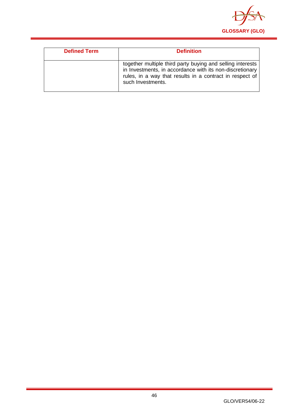

| <b>Defined Term</b> | <b>Definition</b>                                                                                                                                                                                       |
|---------------------|---------------------------------------------------------------------------------------------------------------------------------------------------------------------------------------------------------|
|                     | together multiple third party buying and selling interests<br>in Investments, in accordance with its non-discretionary<br>rules, in a way that results in a contract in respect of<br>such Investments. |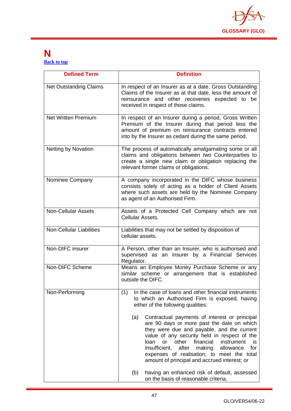

### **N [Back to top](#page-1-0)**

| <b>Defined Term</b>             | <b>Definition</b>                                                                                                                                                                                                                                                                                                                                                                                                     |
|---------------------------------|-----------------------------------------------------------------------------------------------------------------------------------------------------------------------------------------------------------------------------------------------------------------------------------------------------------------------------------------------------------------------------------------------------------------------|
| <b>Net Outstanding Claims</b>   | In respect of an Insurer as at a date, Gross Outstanding<br>Claims of the Insurer as at that date, less the amount of<br>reinsurance and other recoveries expected to be<br>received in respect of those claims.                                                                                                                                                                                                      |
| <b>Net Written Premium</b>      | In respect of an Insurer during a period, Gross Written<br>Premium of the Insurer during that period less the<br>amount of premium on reinsurance contracts entered<br>into by the Insurer as cedant during the same period.                                                                                                                                                                                          |
| <b>Netting by Novation</b>      | The process of automatically amalgamating some or all<br>claims and obligations between two Counterparties to<br>create a single new claim or obligation replacing the<br>relevant former claims or obligations.                                                                                                                                                                                                      |
| Nominee Company                 | A company incorporated in the DIFC whose business<br>consists solely of acting as a holder of Client Assets<br>where such assets are held by the Nominee Company<br>as agent of an Authorised Firm.                                                                                                                                                                                                                   |
| <b>Non-Cellular Assets</b>      | Assets of a Protected Cell Company which are not<br>Cellular Assets.                                                                                                                                                                                                                                                                                                                                                  |
| <b>Non-Cellular Liabilities</b> | Liabilities that may not be settled by disposition of<br>cellular assets.                                                                                                                                                                                                                                                                                                                                             |
| Non-DIFC insurer                | A Person, other than an Insurer, who is authorised and<br>supervised as an insurer by a Financial Services<br>Regulator.                                                                                                                                                                                                                                                                                              |
| Non-DIFC Scheme                 | Means an Employee Money Purchase Scheme or any<br>similar scheme or arrangement that is established<br>outside the DIFC.                                                                                                                                                                                                                                                                                              |
| Non-Performing                  | In the case of loans and other financial instruments<br>(1)<br>to which an Authorised Firm is exposed, having<br>either of the following qualities:                                                                                                                                                                                                                                                                   |
|                                 | (a)<br>Contractual payments of interest or principal<br>are 90 days or more past the date on which<br>they were due and payable, and the current<br>value of any security held in respect of the<br>other<br>financial<br>instrument<br>loan<br><b>or</b><br>is<br>insufficient,<br>after<br>making<br>allowance<br>for<br>expenses of realisation, to meet the total<br>amount of principal and accrued interest; or |
|                                 | (b)<br>having an enhanced risk of default, assessed<br>on the basis of reasonable criteria.                                                                                                                                                                                                                                                                                                                           |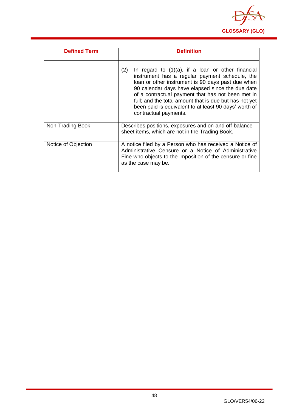

| <b>Defined Term</b> | <b>Definition</b>                                                                                                                                                                                                                                                                                                                                                                                                       |
|---------------------|-------------------------------------------------------------------------------------------------------------------------------------------------------------------------------------------------------------------------------------------------------------------------------------------------------------------------------------------------------------------------------------------------------------------------|
|                     | In regard to $(1)(a)$ , if a loan or other financial<br>(2)<br>instrument has a regular payment schedule, the<br>loan or other instrument is 90 days past due when<br>90 calendar days have elapsed since the due date<br>of a contractual payment that has not been met in<br>full; and the total amount that is due but has not yet<br>been paid is equivalent to at least 90 days' worth of<br>contractual payments. |
| Non-Trading Book    | Describes positions, exposures and on-and off-balance<br>sheet items, which are not in the Trading Book.                                                                                                                                                                                                                                                                                                                |
| Notice of Objection | A notice filed by a Person who has received a Notice of<br>Administrative Censure or a Notice of Administrative<br>Fine who objects to the imposition of the censure or fine<br>as the case may be.                                                                                                                                                                                                                     |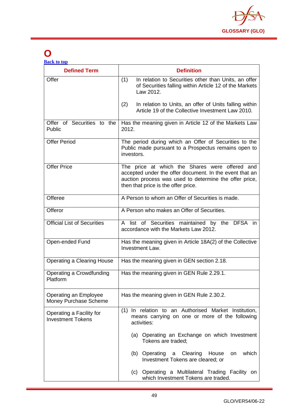

# **O**

| <b>Defined Term</b>                                  | <b>Definition</b>                                                                                                                                                                                          |
|------------------------------------------------------|------------------------------------------------------------------------------------------------------------------------------------------------------------------------------------------------------------|
| Offer                                                | In relation to Securities other than Units, an offer<br>(1)<br>of Securities falling within Article 12 of the Markets<br>Law 2012.                                                                         |
|                                                      | In relation to Units, an offer of Units falling within<br>(2)<br>Article 19 of the Collective Investment Law 2010.                                                                                         |
| Offer of Securities to the<br>Public                 | Has the meaning given in Article 12 of the Markets Law<br>2012.                                                                                                                                            |
| <b>Offer Period</b>                                  | The period during which an Offer of Securities to the<br>Public made pursuant to a Prospectus remains open to<br>investors.                                                                                |
| <b>Offer Price</b>                                   | The price at which the Shares were offered and<br>accepted under the offer document. In the event that an<br>auction process was used to determine the offer price,<br>then that price is the offer price. |
| Offeree                                              | A Person to whom an Offer of Securities is made.                                                                                                                                                           |
| Offeror                                              | A Person who makes an Offer of Securities.                                                                                                                                                                 |
| <b>Official List of Securities</b>                   | A list of Securities maintained by the DFSA in<br>accordance with the Markets Law 2012.                                                                                                                    |
| Open-ended Fund                                      | Has the meaning given in Article 18A(2) of the Collective<br>Investment Law.                                                                                                                               |
| <b>Operating a Clearing House</b>                    | Has the meaning given in GEN section 2.18.                                                                                                                                                                 |
| Operating a Crowdfunding<br>Platform                 | Has the meaning given in GEN Rule 2.29.1.                                                                                                                                                                  |
| Operating an Employee<br>Money Purchase Scheme       | Has the meaning given in GEN Rule 2.30.2.                                                                                                                                                                  |
| Operating a Facility for<br><b>Investment Tokens</b> | (1) In relation to an Authorised Market Institution,<br>means carrying on one or more of the following<br>activities:                                                                                      |
|                                                      | (a) Operating an Exchange on which Investment<br>Tokens are traded;                                                                                                                                        |
|                                                      | (b) Operating a Clearing House<br>which<br>on<br>Investment Tokens are cleared; or                                                                                                                         |
|                                                      | (c) Operating a Multilateral Trading Facility on<br>which Investment Tokens are traded.                                                                                                                    |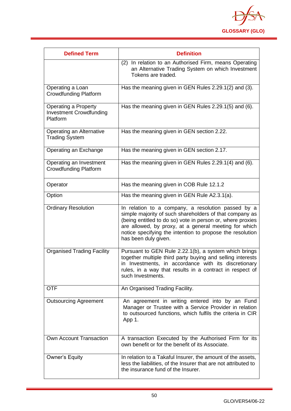

| <b>Defined Term</b>                                                | <b>Definition</b>                                                                                                                                                                                                                                                                                                         |
|--------------------------------------------------------------------|---------------------------------------------------------------------------------------------------------------------------------------------------------------------------------------------------------------------------------------------------------------------------------------------------------------------------|
|                                                                    | (2) In relation to an Authorised Firm, means Operating<br>an Alternative Trading System on which Investment<br>Tokens are traded.                                                                                                                                                                                         |
| Operating a Loan<br><b>Crowdfunding Platform</b>                   | Has the meaning given in GEN Rules 2.29.1(2) and (3).                                                                                                                                                                                                                                                                     |
| Operating a Property<br><b>Investment Crowdfunding</b><br>Platform | Has the meaning given in GEN Rules 2.29.1(5) and (6).                                                                                                                                                                                                                                                                     |
| Operating an Alternative<br><b>Trading System</b>                  | Has the meaning given in GEN section 2.22.                                                                                                                                                                                                                                                                                |
| Operating an Exchange                                              | Has the meaning given in GEN section 2.17.                                                                                                                                                                                                                                                                                |
| Operating an Investment<br><b>Crowdfunding Platform</b>            | Has the meaning given in GEN Rules 2.29.1(4) and (6).                                                                                                                                                                                                                                                                     |
| Operator                                                           | Has the meaning given in COB Rule 12.1.2                                                                                                                                                                                                                                                                                  |
| Option                                                             | Has the meaning given in GEN Rule A2.3.1(a).                                                                                                                                                                                                                                                                              |
| <b>Ordinary Resolution</b>                                         | In relation to a company, a resolution passed by a<br>simple majority of such shareholders of that company as<br>(being entitled to do so) vote in person or, where proxies<br>are allowed, by proxy, at a general meeting for which<br>notice specifying the intention to propose the resolution<br>has been duly given. |
| <b>Organised Trading Facility</b>                                  | Pursuant to GEN Rule 2.22.1(b), a system which brings<br>together multiple third party buying and selling interests<br>in Investments, in accordance with its discretionary<br>rules, in a way that results in a contract in respect of<br>such Investments.                                                              |
| <b>OTF</b>                                                         | An Organised Trading Facility.                                                                                                                                                                                                                                                                                            |
| <b>Outsourcing Agreement</b>                                       | An agreement in writing entered into by an Fund<br>Manager or Trustee with a Service Provider in relation<br>to outsourced functions, which fulfils the criteria in CIR<br>App 1.                                                                                                                                         |
| Own Account Transaction                                            | A transaction Executed by the Authorised Firm for its<br>own benefit or for the benefit of its Associate.                                                                                                                                                                                                                 |
| <b>Owner's Equity</b>                                              | In relation to a Takaful Insurer, the amount of the assets,<br>less the liabilities, of the Insurer that are not attributed to<br>the insurance fund of the Insurer.                                                                                                                                                      |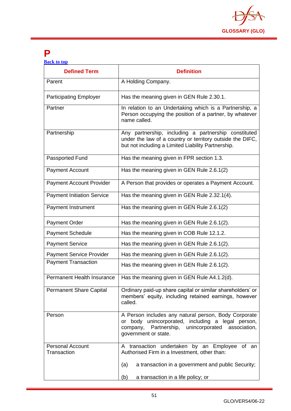

## **P**

| <b>Back to top</b> |  |  |
|--------------------|--|--|
|                    |  |  |
|                    |  |  |

| <b>Defined Term</b>                    | <b>Definition</b>                                                                                                                                                                               |
|----------------------------------------|-------------------------------------------------------------------------------------------------------------------------------------------------------------------------------------------------|
| Parent                                 | A Holding Company.                                                                                                                                                                              |
| <b>Participating Employer</b>          | Has the meaning given in GEN Rule 2.30.1.                                                                                                                                                       |
| Partner                                | In relation to an Undertaking which is a Partnership, a<br>Person occupying the position of a partner, by whatever<br>name called.                                                              |
| Partnership                            | Any partnership, including a partnership constituted<br>under the law of a country or territory outside the DIFC,<br>but not including a Limited Liability Partnership.                         |
| Passported Fund                        | Has the meaning given in FPR section 1.3.                                                                                                                                                       |
| <b>Payment Account</b>                 | Has the meaning given in GEN Rule 2.6.1(2)                                                                                                                                                      |
| <b>Payment Account Provider</b>        | A Person that provides or operates a Payment Account.                                                                                                                                           |
| <b>Payment Initiation Service</b>      | Has the meaning given in GEN Rule 2.32.1(4).                                                                                                                                                    |
| Payment Instrument                     | Has the meaning given in GEN Rule 2.6.1(2)                                                                                                                                                      |
| <b>Payment Order</b>                   | Has the meaning given in GEN Rule 2.6.1(2).                                                                                                                                                     |
| <b>Payment Schedule</b>                | Has the meaning given in COB Rule 12.1.2.                                                                                                                                                       |
| <b>Payment Service</b>                 | Has the meaning given in GEN Rule 2.6.1(2).                                                                                                                                                     |
| <b>Payment Service Provider</b>        | Has the meaning given in GEN Rule 2.6.1(2).                                                                                                                                                     |
| <b>Payment Transaction</b>             | Has the meaning given in GEN Rule 2.6.1(2).                                                                                                                                                     |
| Permanent Health Insurance             | Has the meaning given in GEN Rule A4.1.2(d).                                                                                                                                                    |
| <b>Permanent Share Capital</b>         | Ordinary paid-up share capital or similar shareholders' or<br>members' equity, including retained earnings, however<br>called.                                                                  |
| Person                                 | A Person includes any natural person, Body Corporate<br>body unincorporated, including a legal person,<br>or<br>Partnership, unincorporated<br>company,<br>association,<br>government or state. |
| <b>Personal Account</b><br>Transaction | A transaction undertaken by an Employee of an<br>Authorised Firm in a Investment, other than:                                                                                                   |
|                                        | a transaction in a government and public Security;<br>(a)                                                                                                                                       |
|                                        | (b)<br>a transaction in a life policy; or                                                                                                                                                       |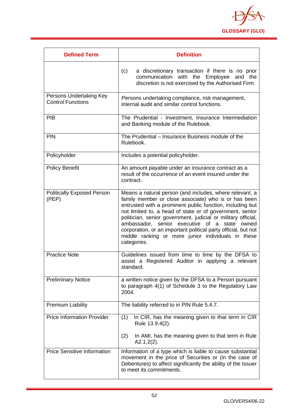

| <b>Defined Term</b>                                 | <b>Definition</b>                                                                                                                                                                                                                                                                                                                                                                                                                                                                                          |
|-----------------------------------------------------|------------------------------------------------------------------------------------------------------------------------------------------------------------------------------------------------------------------------------------------------------------------------------------------------------------------------------------------------------------------------------------------------------------------------------------------------------------------------------------------------------------|
|                                                     | a discretionary transaction if there is no prior<br>(c)<br>with the Employee and the<br>communication<br>discretion is not exercised by the Authorised Firm.                                                                                                                                                                                                                                                                                                                                               |
| Persons Undertaking Key<br><b>Control Functions</b> | Persons undertaking compliance, risk management,<br>internal audit and similar control functions.                                                                                                                                                                                                                                                                                                                                                                                                          |
| <b>PIB</b>                                          | The Prudential - Investment, Insurance Intermediation<br>and Banking module of the Rulebook.                                                                                                                                                                                                                                                                                                                                                                                                               |
| <b>PIN</b>                                          | The Prudential – Insurance Business module of the<br>Rulebook.                                                                                                                                                                                                                                                                                                                                                                                                                                             |
| Policyholder                                        | Includes a potential policyholder.                                                                                                                                                                                                                                                                                                                                                                                                                                                                         |
| <b>Policy Benefit</b>                               | An amount payable under an insurance contract as a<br>result of the occurrence of an event insured under the<br>contract.                                                                                                                                                                                                                                                                                                                                                                                  |
| <b>Politically Exposed Person</b><br>(PEP)          | Means a natural person (and includes, where relevant, a<br>family member or close associate) who is or has been<br>entrusted with a prominent public function, including but<br>not limited to, a head of state or of government, senior<br>politician, senior government, judicial or military official,<br>ambassador, senior executive of<br>a<br>state<br>owned<br>corporation, or an important political party official, but not<br>middle ranking or more junior individuals in these<br>categories. |
| <b>Practice Note</b>                                | Guidelines issued from time to time by the DFSA to<br>assist a Registered Auditor in applying a relevant<br>standard.                                                                                                                                                                                                                                                                                                                                                                                      |
| <b>Preliminary Notice</b>                           | a written notice given by the DFSA to a Person pursuant<br>to paragraph 4(1) of Schedule 3 to the Regulatory Law<br>2004.                                                                                                                                                                                                                                                                                                                                                                                  |
| <b>Premium Liability</b>                            | The liability referred to in PIN Rule 5.4.7.                                                                                                                                                                                                                                                                                                                                                                                                                                                               |
| <b>Price Information Provider</b>                   | In CIR, has the meaning given to that term in CIR<br>(1)<br>Rule 13.9.4(2).                                                                                                                                                                                                                                                                                                                                                                                                                                |
|                                                     | In AMI, has the meaning given to that term in Rule<br>(2)<br>$A2.1.2(2)$ .                                                                                                                                                                                                                                                                                                                                                                                                                                 |
| <b>Price Sensitive Information</b>                  | Information of a type which is liable to cause substantial<br>movement in the price of Securities or (in the case of<br>Debentures) to affect significantly the ability of the Issuer<br>to meet its commitments.                                                                                                                                                                                                                                                                                          |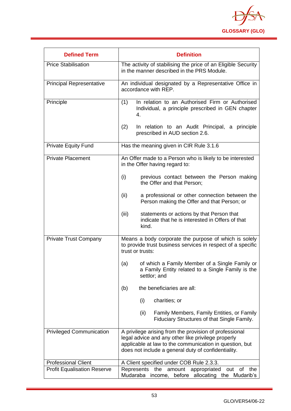

| <b>Defined Term</b>                | <b>Definition</b>                                                                                                                                                                                                              |
|------------------------------------|--------------------------------------------------------------------------------------------------------------------------------------------------------------------------------------------------------------------------------|
| <b>Price Stabilisation</b>         | The activity of stabilising the price of an Eligible Security<br>in the manner described in the PRS Module.                                                                                                                    |
| <b>Principal Representative</b>    | An individual designated by a Representative Office in<br>accordance with REP.                                                                                                                                                 |
| Principle                          | In relation to an Authorised Firm or Authorised<br>(1)<br>Individual, a principle prescribed in GEN chapter<br>4.                                                                                                              |
|                                    | (2)<br>In relation to an Audit Principal, a principle<br>prescribed in AUD section 2.6.                                                                                                                                        |
| <b>Private Equity Fund</b>         | Has the meaning given in CIR Rule 3.1.6                                                                                                                                                                                        |
| <b>Private Placement</b>           | An Offer made to a Person who is likely to be interested<br>in the Offer having regard to:                                                                                                                                     |
|                                    | (i)<br>previous contact between the Person making<br>the Offer and that Person;                                                                                                                                                |
|                                    | (ii)<br>a professional or other connection between the<br>Person making the Offer and that Person; or                                                                                                                          |
|                                    | (iii)<br>statements or actions by that Person that<br>indicate that he is interested in Offers of that<br>kind.                                                                                                                |
| <b>Private Trust Company</b>       | Means a body corporate the purpose of which is solely<br>to provide trust business services in respect of a specific<br>trust or trusts:                                                                                       |
|                                    | of which a Family Member of a Single Family or<br>(a)<br>a Family Entity related to a Single Family is the<br>settlor; and                                                                                                     |
|                                    | the beneficiaries are all:<br>(b)                                                                                                                                                                                              |
|                                    | charities; or<br>(i)                                                                                                                                                                                                           |
|                                    | Family Members, Family Entities, or Family<br>(ii)<br>Fiduciary Structures of that Single Family.                                                                                                                              |
| <b>Privileged Communication</b>    | A privilege arising from the provision of professional<br>legal advice and any other like privilege properly<br>applicable at law to the communication in question, but<br>does not include a general duty of confidentiality. |
| <b>Professional Client</b>         | A Client specified under COB Rule 2.3.3.                                                                                                                                                                                       |
| <b>Profit Equalisation Reserve</b> | Represents<br>amount<br>appropriated<br>of<br>the<br>the<br>out<br>Mudaraba<br>before<br>allocating<br>the Mudarib's<br>income,                                                                                                |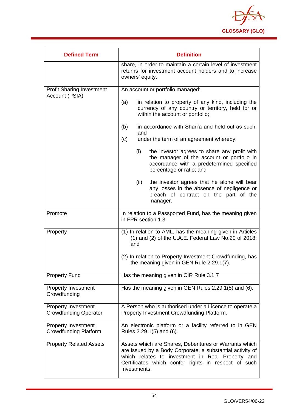

| <b>Defined Term</b>                                        | <b>Definition</b>                                                                                                                                                                                                                             |
|------------------------------------------------------------|-----------------------------------------------------------------------------------------------------------------------------------------------------------------------------------------------------------------------------------------------|
|                                                            | share, in order to maintain a certain level of investment<br>returns for investment account holders and to increase<br>owners' equity.                                                                                                        |
| <b>Profit Sharing Investment</b><br>Account (PSIA)         | An account or portfolio managed:                                                                                                                                                                                                              |
|                                                            | in relation to property of any kind, including the<br>(a)<br>currency of any country or territory, held for or<br>within the account or portfolio;                                                                                            |
|                                                            | in accordance with Shari'a and held out as such;<br>(b)<br>and<br>(c)<br>under the term of an agreement whereby:                                                                                                                              |
|                                                            | (i)<br>the investor agrees to share any profit with<br>the manager of the account or portfolio in<br>accordance with a predetermined specified<br>percentage or ratio; and                                                                    |
|                                                            | the investor agrees that he alone will bear<br>(ii)<br>any losses in the absence of negligence or<br>breach of contract on the part of the<br>manager.                                                                                        |
| Promote                                                    | In relation to a Passported Fund, has the meaning given<br>in FPR section 1.3.                                                                                                                                                                |
| Property                                                   | (1) In relation to AML, has the meaning given in Articles<br>$(1)$ and $(2)$ of the U.A.E. Federal Law No.20 of 2018;<br>and                                                                                                                  |
|                                                            | (2) In relation to Property Investment Crowdfunding, has<br>the meaning given in GEN Rule 2.29.1(7).                                                                                                                                          |
| <b>Property Fund</b>                                       | Has the meaning given in CIR Rule 3.1.7                                                                                                                                                                                                       |
| <b>Property Investment</b><br>Crowdfunding                 | Has the meaning given in GEN Rules 2.29.1(5) and (6).                                                                                                                                                                                         |
| <b>Property Investment</b><br><b>Crowdfunding Operator</b> | A Person who is authorised under a Licence to operate a<br>Property Investment Crowdfunding Platform.                                                                                                                                         |
| <b>Property Investment</b><br><b>Crowdfunding Platform</b> | An electronic platform or a facility referred to in GEN<br>Rules 2.29.1(5) and (6).                                                                                                                                                           |
| <b>Property Related Assets</b>                             | Assets which are Shares, Debentures or Warrants which<br>are issued by a Body Corporate, a substantial activity of<br>which relates to investment in Real Property and<br>Certificates which confer rights in respect of such<br>Investments. |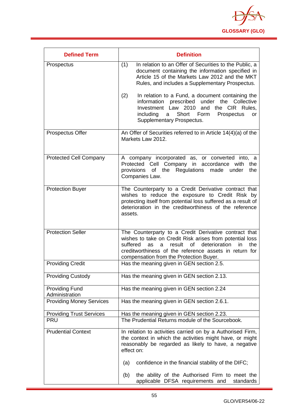

| <b>Defined Term</b>                     | <b>Definition</b>                                                                                                                                                                                                                                                                                  |
|-----------------------------------------|----------------------------------------------------------------------------------------------------------------------------------------------------------------------------------------------------------------------------------------------------------------------------------------------------|
| Prospectus                              | In relation to an Offer of Securities to the Public, a<br>(1)<br>document containing the information specified in<br>Article 15 of the Markets Law 2012 and the MKT<br>Rules, and includes a Supplementary Prospectus.                                                                             |
|                                         | (2)<br>In relation to a Fund, a document containing the<br>prescribed under the<br>information<br>Collective<br>Investment Law 2010 and the CIR<br>Rules.<br>Short Form<br>including<br>Prospectus<br>a<br>or<br>Supplementary Prospectus.                                                         |
| <b>Prospectus Offer</b>                 | An Offer of Securities referred to in Article 14(4)(a) of the<br>Markets Law 2012.                                                                                                                                                                                                                 |
| <b>Protected Cell Company</b>           | A company incorporated as, or converted into, a<br>Protected Cell Company in accordance with<br>the<br>provisions of the Regulations<br>made<br>the<br>under<br>Companies Law.                                                                                                                     |
| <b>Protection Buyer</b>                 | The Counterparty to a Credit Derivative contract that<br>wishes to reduce the exposure to Credit Risk by<br>protecting itself from potential loss suffered as a result of<br>deterioration in the creditworthiness of the reference<br>assets.                                                     |
| <b>Protection Seller</b>                | The Counterparty to a Credit Derivative contract that<br>wishes to take on Credit Risk arises from potential loss<br><b>of</b><br>deterioration<br>suffered<br>result<br>in<br>the<br>as<br>a<br>creditworthiness of the reference assets in return for<br>compensation from the Protection Buyer. |
| <b>Providing Credit</b>                 | Has the meaning given in GEN section 2.5.                                                                                                                                                                                                                                                          |
| <b>Providing Custody</b>                | Has the meaning given in GEN section 2.13.                                                                                                                                                                                                                                                         |
| <b>Providing Fund</b><br>Administration | Has the meaning given in GEN section 2.24                                                                                                                                                                                                                                                          |
| <b>Providing Money Services</b>         | Has the meaning given in GEN section 2.6.1.                                                                                                                                                                                                                                                        |
| <b>Providing Trust Services</b>         | Has the meaning given in GEN section 2.23.                                                                                                                                                                                                                                                         |
| <b>PRU</b>                              | The Prudential Returns module of the Sourcebook.                                                                                                                                                                                                                                                   |
| <b>Prudential Context</b>               | In relation to activities carried on by a Authorised Firm,<br>the context in which the activities might have, or might<br>reasonably be regarded as likely to have, a negative<br>effect on:                                                                                                       |
|                                         | confidence in the financial stability of the DIFC;<br>(a)                                                                                                                                                                                                                                          |
|                                         | the ability of the Authorised Firm to meet the<br>(b)<br>applicable DFSA requirements and<br>standards                                                                                                                                                                                             |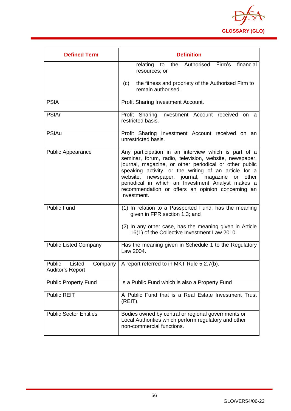

| <b>Defined Term</b>                             | <b>Definition</b>                                                                                                                                                                                                                                                                                                                                                                                                     |
|-------------------------------------------------|-----------------------------------------------------------------------------------------------------------------------------------------------------------------------------------------------------------------------------------------------------------------------------------------------------------------------------------------------------------------------------------------------------------------------|
|                                                 | relating to the Authorised Firm's<br>financial<br>resources; or                                                                                                                                                                                                                                                                                                                                                       |
|                                                 | the fitness and propriety of the Authorised Firm to<br>(c)<br>remain authorised.                                                                                                                                                                                                                                                                                                                                      |
| <b>PSIA</b>                                     | Profit Sharing Investment Account.                                                                                                                                                                                                                                                                                                                                                                                    |
| <b>PSIAr</b>                                    | Profit Sharing Investment Account received on a<br>restricted basis.                                                                                                                                                                                                                                                                                                                                                  |
| <b>PSIAu</b>                                    | Profit Sharing Investment Account received on an<br>unrestricted basis.                                                                                                                                                                                                                                                                                                                                               |
| <b>Public Appearance</b>                        | Any participation in an interview which is part of a<br>seminar, forum, radio, television, website, newspaper,<br>journal, magazine, or other periodical or other public<br>speaking activity, or the writing of an article for a<br>newspaper, journal, magazine<br>website,<br>or<br>other<br>periodical in which an Investment Analyst makes a<br>recommendation or offers an opinion concerning an<br>Investment. |
| <b>Public Fund</b>                              | (1) In relation to a Passported Fund, has the meaning<br>given in FPR section 1.3; and<br>(2) In any other case, has the meaning given in Article                                                                                                                                                                                                                                                                     |
|                                                 | 16(1) of the Collective Investment Law 2010.                                                                                                                                                                                                                                                                                                                                                                          |
| <b>Public Listed Company</b>                    | Has the meaning given in Schedule 1 to the Regulatory<br>Law 2004.                                                                                                                                                                                                                                                                                                                                                    |
| Public<br>Listed<br>Company<br>Auditor's Report | A report referred to in MKT Rule 5.2.7(b).                                                                                                                                                                                                                                                                                                                                                                            |
| <b>Public Property Fund</b>                     | Is a Public Fund which is also a Property Fund                                                                                                                                                                                                                                                                                                                                                                        |
| <b>Public REIT</b>                              | A Public Fund that is a Real Estate Investment Trust<br>(REIT).                                                                                                                                                                                                                                                                                                                                                       |
| <b>Public Sector Entities</b>                   | Bodies owned by central or regional governments or<br>Local Authorities which perform regulatory and other<br>non-commercial functions.                                                                                                                                                                                                                                                                               |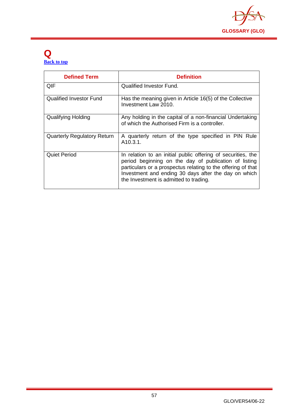

## **Q [Back to top](#page-1-0)**

| <b>Defined Term</b>                | <b>Definition</b>                                                                                                                                                                                                                                                                       |
|------------------------------------|-----------------------------------------------------------------------------------------------------------------------------------------------------------------------------------------------------------------------------------------------------------------------------------------|
| QIF                                | Qualified Investor Fund.                                                                                                                                                                                                                                                                |
| <b>Qualified Investor Fund</b>     | Has the meaning given in Article 16(5) of the Collective<br>Investment Law 2010.                                                                                                                                                                                                        |
| <b>Qualifying Holding</b>          | Any holding in the capital of a non-financial Undertaking<br>of which the Authorised Firm is a controller.                                                                                                                                                                              |
| <b>Quarterly Regulatory Return</b> | A quarterly return of the type specified in PIN Rule<br>A <sub>10.3</sub> .1.                                                                                                                                                                                                           |
| Quiet Period                       | In relation to an initial public offering of securities, the<br>period beginning on the day of publication of listing<br>particulars or a prospectus relating to the offering of that<br>Investment and ending 30 days after the day on which<br>the Investment is admitted to trading. |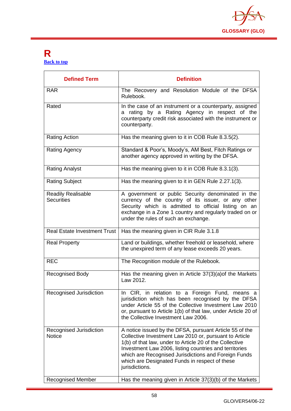

### **R [Back to top](#page-1-0)**

| <b>Defined Term</b>                                                  | <b>Definition</b>                                                                                                                                                                                                                                                                                                                                                                                                              |
|----------------------------------------------------------------------|--------------------------------------------------------------------------------------------------------------------------------------------------------------------------------------------------------------------------------------------------------------------------------------------------------------------------------------------------------------------------------------------------------------------------------|
| <b>RAR</b>                                                           | The Recovery and Resolution Module of the DFSA<br>Rulebook.                                                                                                                                                                                                                                                                                                                                                                    |
| Rated                                                                | In the case of an instrument or a counterparty, assigned<br>a rating by a Rating Agency in respect of the<br>counterparty credit risk associated with the instrument or<br>counterparty.                                                                                                                                                                                                                                       |
| <b>Rating Action</b>                                                 | Has the meaning given to it in COB Rule 8.3.5(2).                                                                                                                                                                                                                                                                                                                                                                              |
| <b>Rating Agency</b>                                                 | Standard & Poor's, Moody's, AM Best, Fitch Ratings or<br>another agency approved in writing by the DFSA.                                                                                                                                                                                                                                                                                                                       |
| <b>Rating Analyst</b>                                                | Has the meaning given to it in COB Rule 8.3.1(3).                                                                                                                                                                                                                                                                                                                                                                              |
| <b>Rating Subject</b>                                                | Has the meaning given to it in GEN Rule 2.27.1(3).                                                                                                                                                                                                                                                                                                                                                                             |
| <b>Readily Realisable</b><br><b>Securities</b>                       | A government or public Security denominated in the<br>currency of the country of its issuer, or any other<br>Security which is admitted to official listing on an<br>exchange in a Zone 1 country and regularly traded on or<br>under the rules of such an exchange.                                                                                                                                                           |
| <b>Real Estate Investment Trust</b>                                  | Has the meaning given in CIR Rule 3.1.8                                                                                                                                                                                                                                                                                                                                                                                        |
| <b>Real Property</b>                                                 | Land or buildings, whether freehold or leasehold, where<br>the unexpired term of any lease exceeds 20 years.                                                                                                                                                                                                                                                                                                                   |
| <b>REC</b>                                                           | The Recognition module of the Rulebook.                                                                                                                                                                                                                                                                                                                                                                                        |
| <b>Recognised Body</b>                                               | Has the meaning given in Article 37(3)(a) of the Markets<br>Law 2012.                                                                                                                                                                                                                                                                                                                                                          |
| Recognised Jurisdiction                                              | In CIR, in relation to a Foreign Fund, means a<br>jurisdiction which has been recognised by the DFSA<br>under Article 55 of the Collective Investment Law 2010<br>or, pursuant to Article 1(b) of that law, under Article 20 of<br>the Collective Investment Law 2006.                                                                                                                                                         |
| Recognised Jurisdiction<br><b>Notice</b><br><b>Recognised Member</b> | A notice issued by the DFSA, pursuant Article 55 of the<br>Collective Investment Law 2010 or, pursuant to Article<br>1(b) of that law, under to Article 20 of the Collective<br>Investment Law 2006, listing countries and territories<br>which are Recognised Jurisdictions and Foreign Funds<br>which are Designated Funds in respect of these<br>jurisdictions.<br>Has the meaning given in Article 37(3)(b) of the Markets |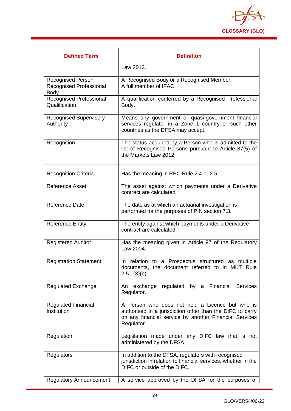

| <b>Defined Term</b>                             | <b>Definition</b>                                                                                                                                                                    |
|-------------------------------------------------|--------------------------------------------------------------------------------------------------------------------------------------------------------------------------------------|
|                                                 | Law 2012.                                                                                                                                                                            |
| Recognised Person                               | A Recognised Body or a Recognised Member.                                                                                                                                            |
| <b>Recognised Professional</b><br><b>Body</b>   | A full member of IFAC.                                                                                                                                                               |
| <b>Recognised Professional</b><br>Qualification | A qualification conferred by a Recognised Professional<br>Body.                                                                                                                      |
| <b>Recognised Supervisory</b><br>Authority      | Means any government or quasi-government financial<br>services regulator in a Zone 1 country or such other<br>countries as the DFSA may accept.                                      |
| Recognition                                     | The status acquired by a Person who is admitted to the<br>list of Recognised Persons pursuant to Article 37(5) of<br>the Markets Law 2012.                                           |
| <b>Recognition Criteria</b>                     | Has the meaning in REC Rule 2.4 or 2.5.                                                                                                                                              |
| <b>Reference Asset</b>                          | The asset against which payments under a Derivative<br>contract are calculated.                                                                                                      |
| <b>Reference Date</b>                           | The date as at which an actuarial investigation is<br>performed for the purposes of PIN section 7.3.                                                                                 |
| <b>Reference Entity</b>                         | The entity against which payments under a Derivative<br>contract are calculated.                                                                                                     |
| <b>Registered Auditor</b>                       | Has the meaning given in Article 97 of the Regulatory<br>Law 2004.                                                                                                                   |
| <b>Registration Statement</b>                   | In relation to a Prospectus structured as multiple<br>documents, the document referred to in MKT Rule<br>$2.5.1(3)(b)$ .                                                             |
| <b>Regulated Exchange</b>                       | regulated by a Financial<br><b>Services</b><br>exchange<br>An<br>Regulator.                                                                                                          |
| <b>Regulated Financial</b><br>Institution       | A Person who does not hold a Licence but who is<br>authorised in a jurisdiction other than the DIFC to carry<br>on any financial service by another Financial Services<br>Regulator. |
| Regulation                                      | Legislation made under any DIFC law that is not<br>administered by the DFSA.                                                                                                         |
| Regulators                                      | In addition to the DFSA, regulators with recognised<br>jurisdiction in relation to financial services, whether in the<br>DIFC or outside of the DIFC.                                |
| <b>Regulatory Announcement</b>                  | A service approved by the DFSA for the purposes of                                                                                                                                   |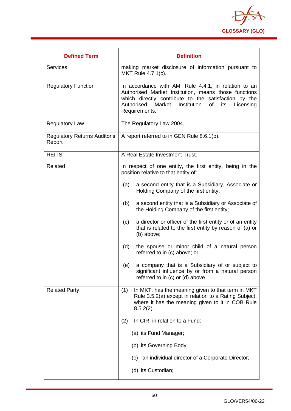

| <b>Defined Term</b>                           | <b>Definition</b>                                                                                                                                                                                                                                      |
|-----------------------------------------------|--------------------------------------------------------------------------------------------------------------------------------------------------------------------------------------------------------------------------------------------------------|
| <b>Services</b>                               | making market disclosure of information pursuant to<br>MKT Rule 4.7.1(c).                                                                                                                                                                              |
| <b>Regulatory Function</b>                    | In accordance with AMI Rule 4.4.1, in relation to an<br>Authorised Market Institution, means those functions<br>which directly contribute to the satisfaction by the<br>Authorised<br>Market<br>Institution<br>of<br>its<br>Licensing<br>Requirements. |
| <b>Regulatory Law</b>                         | The Regulatory Law 2004.                                                                                                                                                                                                                               |
| <b>Regulatory Returns Auditor's</b><br>Report | A report referred to in GEN Rule 8.6.1(b).                                                                                                                                                                                                             |
| <b>REITS</b>                                  | A Real Estate Investment Trust.                                                                                                                                                                                                                        |
| Related                                       | In respect of one entity, the first entity, being in the<br>position relative to that entity of:                                                                                                                                                       |
|                                               | a second entity that is a Subsidiary, Associate or<br>(a)<br>Holding Company of the first entity;                                                                                                                                                      |
|                                               | (b)<br>a second entity that is a Subsidiary or Associate of<br>the Holding Company of the first entity;                                                                                                                                                |
|                                               | a director or officer of the first entity or of an entity<br>(c)<br>that is related to the first entity by reason of (a) or<br>(b) above;                                                                                                              |
|                                               | (d)<br>the spouse or minor child of a natural person<br>referred to in (c) above; or                                                                                                                                                                   |
|                                               | a company that is a Subsidiary of or subject to<br>(e)<br>significant influence by or from a natural person<br>referred to in (c) or (d) above.                                                                                                        |
| <b>Related Party</b>                          | In MKT, has the meaning given to that term in MKT<br>(1)<br>Rule 3.5.2(a) except in relation to a Rating Subject,<br>where it has the meaning given to it in COB Rule<br>$8.5.2(2)$ .                                                                  |
|                                               | In CIR, in relation to a Fund:<br>(2)                                                                                                                                                                                                                  |
|                                               | (a) its Fund Manager;                                                                                                                                                                                                                                  |
|                                               | (b) its Governing Body;                                                                                                                                                                                                                                |
|                                               | (c) an individual director of a Corporate Director;                                                                                                                                                                                                    |
|                                               | (d) its Custodian;                                                                                                                                                                                                                                     |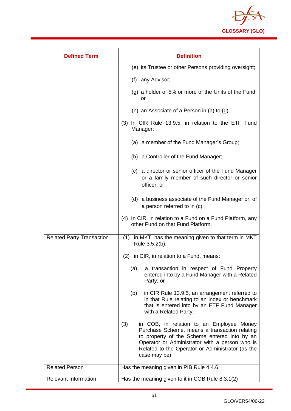

| <b>Defined Term</b>              | <b>Definition</b>                                                                                                                                                                                                                                                       |
|----------------------------------|-------------------------------------------------------------------------------------------------------------------------------------------------------------------------------------------------------------------------------------------------------------------------|
|                                  | (e) its Trustee or other Persons providing oversight;                                                                                                                                                                                                                   |
|                                  | (f) any Advisor;                                                                                                                                                                                                                                                        |
|                                  | (g) a holder of 5% or more of the Units of the Fund;<br>or                                                                                                                                                                                                              |
|                                  | (h) an Associate of a Person in (a) to $(g)$ .                                                                                                                                                                                                                          |
|                                  | (3) In CIR Rule 13.9.5, in relation to the ETF Fund<br>Manager:                                                                                                                                                                                                         |
|                                  | (a) a member of the Fund Manager's Group;                                                                                                                                                                                                                               |
|                                  | (b) a Controller of the Fund Manager;                                                                                                                                                                                                                                   |
|                                  | (c) a director or senior officer of the Fund Manager<br>or a family member of such director or senior<br>officer; or                                                                                                                                                    |
|                                  | (d) a business associate of the Fund Manager or, of<br>a person referred to in (c).                                                                                                                                                                                     |
|                                  | (4) In CIR, in relation to a Fund on a Fund Platform, any<br>other Fund on that Fund Platform.                                                                                                                                                                          |
| <b>Related Party Transaction</b> | in MKT, has the meaning given to that term in MKT<br>(1)<br>Rule 3.5.2(b).                                                                                                                                                                                              |
|                                  | in CIR, in relation to a Fund, means:<br>(2)                                                                                                                                                                                                                            |
|                                  | a transaction in respect of Fund Property<br>(a)<br>entered into by a Fund Manager with a Related<br>Party; or                                                                                                                                                          |
|                                  | in CIR Rule 13.9.5, an arrangement referred to<br>(b)<br>in that Rule relating to an index or benchmark<br>that is entered into by an ETF Fund Manager<br>with a Related Party.                                                                                         |
|                                  | (3)<br>in COB, in relation to an Employee Money<br>Purchase Scheme, means a transaction relating<br>to property of the Scheme entered into by an<br>Operator or Administrator with a person who is<br>Related to the Operator or Administrator (as the<br>case may be). |
| <b>Related Person</b>            | Has the meaning given in PIB Rule 4.4.6.                                                                                                                                                                                                                                |
| <b>Relevant Information</b>      | Has the meaning given to it in COB Rule 8.3.1(2)                                                                                                                                                                                                                        |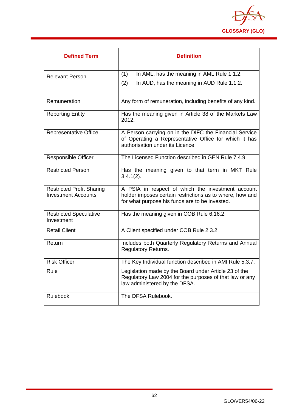

| <b>Defined Term</b>                                            | <b>Definition</b>                                                                                                                                               |
|----------------------------------------------------------------|-----------------------------------------------------------------------------------------------------------------------------------------------------------------|
| <b>Relevant Person</b>                                         | (1)<br>In AML, has the meaning in AML Rule 1.1.2.<br>(2)<br>In AUD, has the meaning in AUD Rule 1.1.2.                                                          |
| Remuneration                                                   | Any form of remuneration, including benefits of any kind.                                                                                                       |
| <b>Reporting Entity</b>                                        | Has the meaning given in Article 38 of the Markets Law<br>2012.                                                                                                 |
| <b>Representative Office</b>                                   | A Person carrying on in the DIFC the Financial Service<br>of Operating a Representative Office for which it has<br>authorisation under its Licence.             |
| Responsible Officer                                            | The Licensed Function described in GEN Rule 7.4.9                                                                                                               |
| <b>Restricted Person</b>                                       | Has the meaning given to that term in MKT Rule<br>$3.4.1(2)$ .                                                                                                  |
| <b>Restricted Profit Sharing</b><br><b>Investment Accounts</b> | A PSIA in respect of which the investment account<br>holder imposes certain restrictions as to where, how and<br>for what purpose his funds are to be invested. |
| <b>Restricted Speculative</b><br>Investment                    | Has the meaning given in COB Rule 6.16.2.                                                                                                                       |
| <b>Retail Client</b>                                           | A Client specified under COB Rule 2.3.2.                                                                                                                        |
| Return                                                         | Includes both Quarterly Regulatory Returns and Annual<br><b>Regulatory Returns.</b>                                                                             |
| <b>Risk Officer</b>                                            | The Key Individual function described in AMI Rule 5.3.7.                                                                                                        |
| Rule                                                           | Legislation made by the Board under Article 23 of the<br>Regulatory Law 2004 for the purposes of that law or any<br>law administered by the DFSA.               |
| Rulebook                                                       | The DFSA Rulebook.                                                                                                                                              |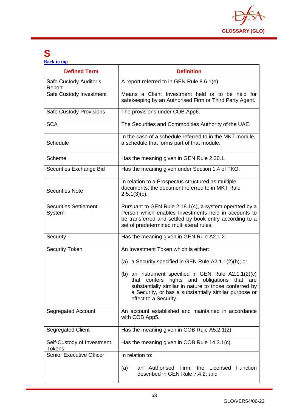

## **S**

**[Back to top](#page-1-0)**

| <b>Defined Term</b>                         | <b>Definition</b>                                                                                                                                                                                                                                              |
|---------------------------------------------|----------------------------------------------------------------------------------------------------------------------------------------------------------------------------------------------------------------------------------------------------------------|
| Safe Custody Auditor's<br>Report            | A report referred to in GEN Rule 8.6.1(e).                                                                                                                                                                                                                     |
| Safe Custody Investment                     | Means a Client Investment held or to be held for<br>safekeeping by an Authorised Firm or Third Party Agent.                                                                                                                                                    |
| Safe Custody Provisions                     | The provisions under COB App6.                                                                                                                                                                                                                                 |
| <b>SCA</b>                                  | The Securities and Commodities Authority of the UAE.                                                                                                                                                                                                           |
| Schedule                                    | In the case of a schedule referred to in the MKT module,<br>a schedule that forms part of that module.                                                                                                                                                         |
| Scheme                                      | Has the meaning given in GEN Rule 2.30.1.                                                                                                                                                                                                                      |
| Securities Exchange Bid                     | Has the meaning given under Section 1.4 of TKO.                                                                                                                                                                                                                |
| <b>Securities Note</b>                      | In relation to a Prospectus structured as multiple<br>documents, the document referred to in MKT Rule<br>$2.5.1(3)(c)$ .                                                                                                                                       |
| <b>Securities Settlement</b><br>System      | Pursuant to GEN Rule 2.18.1(4), a system operated by a<br>Person which enables Investments held in accounts to<br>be transferred and settled by book entry according to a<br>set of predetermined multilateral rules.                                          |
| Security                                    | Has the meaning given in GEN Rule A2.1.2.                                                                                                                                                                                                                      |
| <b>Security Token</b>                       | An Investment Token which is either:                                                                                                                                                                                                                           |
|                                             | (a) a Security specified in GEN Rule $A2.1.1(2)(b)$ ; or                                                                                                                                                                                                       |
|                                             | (b) an instrument specified in GEN Rule A2.1.1(2)(c)<br>confers<br>rights and<br>obligations<br>that<br>that<br>are<br>substantially similar in nature to those conferred by<br>a Security, or has a substantially similar purpose or<br>effect to a Security. |
| Segregated Account                          | An account established and maintained in accordance<br>with COB App5.                                                                                                                                                                                          |
| Segregated Client                           | Has the meaning given in COB Rule A5.2.1(2).                                                                                                                                                                                                                   |
| Self-Custody of Investment<br><b>Tokens</b> | Has the meaning given in COB Rule 14.3.1(c).                                                                                                                                                                                                                   |
| <b>Senior Executive Officer</b>             | In relation to:                                                                                                                                                                                                                                                |
|                                             | Authorised<br>Firm, the Licensed<br>Function<br>(a)<br>an<br>described in GEN Rule 7.4.2; and                                                                                                                                                                  |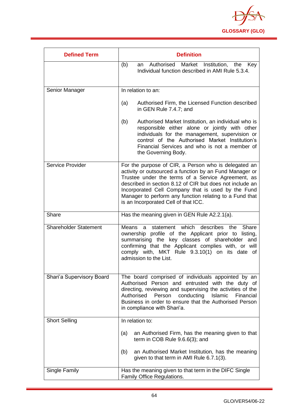

| <b>Defined Term</b>          | <b>Definition</b>                                                                                                                                                                                                                                                                                                                                                                          |
|------------------------------|--------------------------------------------------------------------------------------------------------------------------------------------------------------------------------------------------------------------------------------------------------------------------------------------------------------------------------------------------------------------------------------------|
|                              | Authorised Market<br>(b)<br>Institution, the Key<br>an<br>Individual function described in AMI Rule 5.3.4.                                                                                                                                                                                                                                                                                 |
| Senior Manager               | In relation to an:                                                                                                                                                                                                                                                                                                                                                                         |
|                              | Authorised Firm, the Licensed Function described<br>(a)<br>in GEN Rule 7.4.7; and                                                                                                                                                                                                                                                                                                          |
|                              | (b)<br>Authorised Market Institution, an individual who is<br>responsible either alone or jointly with other<br>individuals for the management, supervision or<br>control of the Authorised Market Institution's<br>Financial Services and who is not a member of<br>the Governing Body.                                                                                                   |
| Service Provider             | For the purpose of CIR, a Person who is delegated an<br>activity or outsourced a function by an Fund Manager or<br>Trustee under the terms of a Service Agreement, as<br>described in section 8.12 of CIR but does not include an<br>Incorporated Cell Company that is used by the Fund<br>Manager to perform any function relating to a Fund that<br>is an Incorporated Cell of that ICC. |
| Share                        | Has the meaning given in GEN Rule A2.2.1(a).                                                                                                                                                                                                                                                                                                                                               |
| <b>Shareholder Statement</b> | which<br>describes<br>the<br>Share<br>Means<br>statement<br>$\mathbf{a}$<br>ownership profile of the Applicant prior to listing,<br>summarising the key classes of shareholder and<br>confirming that the Applicant complies with, or will<br>comply with, MKT Rule 9.3.10(1) on its date of<br>admission to the List.                                                                     |
| Shari'a Supervisory Board    | The board comprised of individuals appointed by an<br>Authorised Person and entrusted with the duty of<br>directing, reviewing and supervising the activities of the<br>conducting<br>Authorised<br>Person<br>Islamic<br>Financial<br>Business in order to ensure that the Authorised Person<br>in compliance with Shari'a.                                                                |
| <b>Short Selling</b>         | In relation to:                                                                                                                                                                                                                                                                                                                                                                            |
|                              | an Authorised Firm, has the meaning given to that<br>(a)<br>term in COB Rule 9.6.6(3); and<br>an Authorised Market Institution, has the meaning<br>(b)<br>given to that term in AMI Rule 6.7.1(3).                                                                                                                                                                                         |
| <b>Single Family</b>         | Has the meaning given to that term in the DIFC Single<br>Family Office Regulations.                                                                                                                                                                                                                                                                                                        |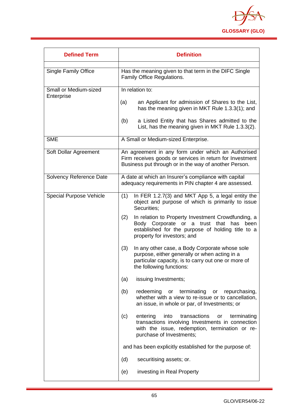

| <b>Defined Term</b>                        | <b>Definition</b>                                                                                                                                                                                 |
|--------------------------------------------|---------------------------------------------------------------------------------------------------------------------------------------------------------------------------------------------------|
| <b>Single Family Office</b>                | Has the meaning given to that term in the DIFC Single<br>Family Office Regulations.                                                                                                               |
| <b>Small or Medium-sized</b><br>Enterprise | In relation to:                                                                                                                                                                                   |
|                                            | (a)<br>an Applicant for admission of Shares to the List,<br>has the meaning given in MKT Rule 1.3.3(1); and                                                                                       |
|                                            | a Listed Entity that has Shares admitted to the<br>(b)<br>List, has the meaning given in MKT Rule 1.3.3(2).                                                                                       |
| <b>SME</b>                                 | A Small or Medium-sized Enterprise.                                                                                                                                                               |
| Soft Dollar Agreement                      | An agreement in any form under which an Authorised<br>Firm receives goods or services in return for Investment<br>Business put through or in the way of another Person.                           |
| Solvency Reference Date                    | A date at which an Insurer's compliance with capital<br>adequacy requirements in PIN chapter 4 are assessed.                                                                                      |
| <b>Special Purpose Vehicle</b>             | In FER 1.2.7(3) and MKT App 5, a legal entity the<br>(1)<br>object and purpose of which is primarily to issue<br>Securities;                                                                      |
|                                            | In relation to Property Investment Crowdfunding, a<br>(2)<br>Body Corporate or a trust<br>that<br>has<br>been<br>established for the purpose of holding title to a<br>property for investors; and |
|                                            | (3)<br>In any other case, a Body Corporate whose sole<br>purpose, either generally or when acting in a<br>particular capacity, is to carry out one or more of<br>the following functions:         |
|                                            | issuing Investments;<br>(a)                                                                                                                                                                       |
|                                            | (b)<br>redeeming<br>terminating<br>repurchasing,<br>or<br>or<br>whether with a view to re-issue or to cancellation,<br>an issue, in whole or par, of Investments; or                              |
|                                            | into<br>transactions<br>(c)<br>entering<br>terminating<br>or<br>transactions involving Investments in connection<br>with the issue, redemption, termination or re-<br>purchase of Investments;    |
|                                            | and has been explicitly established for the purpose of:                                                                                                                                           |
|                                            | (d)<br>securitising assets; or.                                                                                                                                                                   |
|                                            | investing in Real Property<br>(e)                                                                                                                                                                 |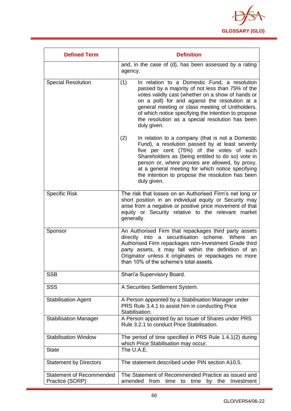

| <b>Defined Term</b>                                | <b>Definition</b>                                                                                                                                                                                                                                                                                                                                                                           |
|----------------------------------------------------|---------------------------------------------------------------------------------------------------------------------------------------------------------------------------------------------------------------------------------------------------------------------------------------------------------------------------------------------------------------------------------------------|
|                                                    | and, in the case of (d), has been assessed by a rating<br>agency.                                                                                                                                                                                                                                                                                                                           |
| <b>Special Resolution</b>                          | (1)<br>In relation to a Domestic Fund, a resolution<br>passed by a majority of not less than 75% of the<br>votes validly cast (whether on a show of hands or<br>on a poll) for and against the resolution at a<br>general meeting or class meeting of Unitholders,<br>of which notice specifying the intention to propose<br>the resolution as a special resolution has been<br>duly given. |
|                                                    | (2)<br>In relation to a company (that is not a Domestic<br>Fund), a resolution passed by at least seventy<br>five per cent (75%) of the votes of such<br>Shareholders as (being entitled to do so) vote in<br>person or, where proxies are allowed, by proxy,<br>at a general meeting for which notice specifying<br>the intention to propose the resolution has been<br>duly given.        |
| <b>Specific Risk</b>                               | The risk that losses on an Authorised Firm's net long or<br>short position in an individual equity or Security may<br>arise from a negative or positive price movement of that<br>equity or Security relative to the relevant market<br>generally.                                                                                                                                          |
| Sponsor                                            | An Authorised Firm that repackages third party assets<br>directly into a securitisation scheme. Where an<br>Authorised Firm repackages non-Investment Grade third<br>party assets, it may fall within the definition of an<br>Originator unless it originates or repackages no more<br>than 10% of the scheme's total assets.                                                               |
| <b>SSB</b>                                         | Shari'a Supervisory Board.                                                                                                                                                                                                                                                                                                                                                                  |
| <b>SSS</b>                                         | A Securities Settlement System.                                                                                                                                                                                                                                                                                                                                                             |
| <b>Stabilisation Agent</b>                         | A Person appointed by a Stabilisation Manager under<br>PRS Rule 3.4.1 to assist him in conducting Price<br>Stabilisation.                                                                                                                                                                                                                                                                   |
| <b>Stabilisation Manager</b>                       | A Person appointed by an Issuer of Shares under PRS<br>Rule 3.2.1 to conduct Price Stabilisation.                                                                                                                                                                                                                                                                                           |
| <b>Stabilisation Window</b>                        | The period of time specified in PRS Rule 1.4.1(2) during<br>which Price Stabilisation may occur.                                                                                                                                                                                                                                                                                            |
| <b>State</b>                                       | The U.A.E.                                                                                                                                                                                                                                                                                                                                                                                  |
| <b>Statement by Directors</b>                      | The statement described under PIN section A10.5.                                                                                                                                                                                                                                                                                                                                            |
| <b>Statement of Recommended</b><br>Practice (SORP) | The Statement of Recommended Practice as issued and<br>from<br>amended<br>Investment<br>time to<br>time<br>the<br>by                                                                                                                                                                                                                                                                        |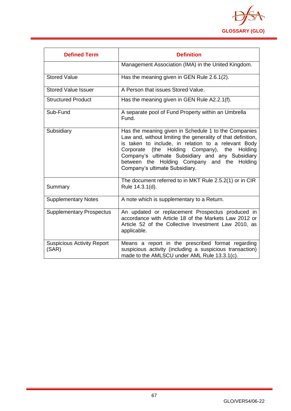

| <b>Defined Term</b>                        | <b>Definition</b>                                                                                                                                                                                                                                                                                                                                                   |
|--------------------------------------------|---------------------------------------------------------------------------------------------------------------------------------------------------------------------------------------------------------------------------------------------------------------------------------------------------------------------------------------------------------------------|
|                                            | Management Association (IMA) in the United Kingdom.                                                                                                                                                                                                                                                                                                                 |
| <b>Stored Value</b>                        | Has the meaning given in GEN Rule 2.6.1(2).                                                                                                                                                                                                                                                                                                                         |
| <b>Stored Value Issuer</b>                 | A Person that issues Stored Value.                                                                                                                                                                                                                                                                                                                                  |
| <b>Structured Product</b>                  | Has the meaning given in GEN Rule A2.2.1(f).                                                                                                                                                                                                                                                                                                                        |
| Sub-Fund                                   | A separate pool of Fund Property within an Umbrella<br>Fund.                                                                                                                                                                                                                                                                                                        |
| Subsidiary                                 | Has the meaning given in Schedule 1 to the Companies<br>Law and, without limiting the generality of that definition,<br>is taken to include, in relation to a relevant Body<br>Corporate (the Holding Company),<br>the Holding<br>Company's ultimate Subsidiary and any Subsidiary<br>between the Holding Company and the Holding<br>Company's ultimate Subsidiary. |
| Summary                                    | The document referred to in MKT Rule 2.5.2(1) or in CIR<br>Rule 14.3.1(d).                                                                                                                                                                                                                                                                                          |
| <b>Supplementary Notes</b>                 | A note which is supplementary to a Return.                                                                                                                                                                                                                                                                                                                          |
| <b>Supplementary Prospectus</b>            | An updated or replacement Prospectus produced in<br>accordance with Article 18 of the Markets Law 2012 or<br>Article 52 of the Collective Investment Law 2010, as<br>applicable.                                                                                                                                                                                    |
| <b>Suspicious Activity Report</b><br>(SAR) | Means a report in the prescribed format regarding<br>suspicious activity (including a suspicious transaction)<br>made to the AMLSCU under AML Rule 13.3.1(c).                                                                                                                                                                                                       |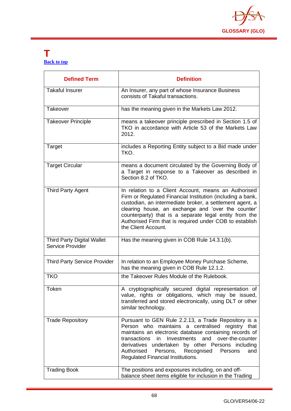

## **T [Back to top](#page-1-0)**

| <b>Defined Term</b>                                   | <b>Definition</b>                                                                                                                                                                                                                                                                                                                                                                      |
|-------------------------------------------------------|----------------------------------------------------------------------------------------------------------------------------------------------------------------------------------------------------------------------------------------------------------------------------------------------------------------------------------------------------------------------------------------|
| <b>Takaful Insurer</b>                                | An Insurer, any part of whose Insurance Business<br>consists of Takaful transactions.                                                                                                                                                                                                                                                                                                  |
| <b>Takeover</b>                                       | has the meaning given in the Markets Law 2012.                                                                                                                                                                                                                                                                                                                                         |
| <b>Takeover Principle</b>                             | means a takeover principle prescribed in Section 1.5 of<br>TKO in accordance with Article 53 of the Markets Law<br>2012.                                                                                                                                                                                                                                                               |
| Target                                                | includes a Reporting Entity subject to a Bid made under<br>TKO.                                                                                                                                                                                                                                                                                                                        |
| <b>Target Circular</b>                                | means a document circulated by the Governing Body of<br>a Target in response to a Takeover as described in<br>Section 8.2 of TKO.                                                                                                                                                                                                                                                      |
| <b>Third Party Agent</b>                              | In relation to a Client Account, means an Authorised<br>Firm or Regulated Financial Institution (including a bank,<br>custodian, an intermediate broker, a settlement agent, a<br>clearing house, an exchange and 'over the counter'<br>counterparty) that is a separate legal entity from the<br>Authorised Firm that is required under COB to establish<br>the Client Account.       |
| <b>Third Party Digital Wallet</b><br>Service Provider | Has the meaning given in COB Rule 14.3.1(b).                                                                                                                                                                                                                                                                                                                                           |
| <b>Third Party Service Provider</b>                   | In relation to an Employee Money Purchase Scheme,<br>has the meaning given in COB Rule 12.1.2.                                                                                                                                                                                                                                                                                         |
| <b>TKO</b>                                            | the Takeover Rules Module of the Rulebook.                                                                                                                                                                                                                                                                                                                                             |
| Token                                                 | A cryptographically secured digital representation of<br>value, rights or obligations, which may be issued,<br>transferred and stored electronically, using DLT or other<br>similar technology.                                                                                                                                                                                        |
| <b>Trade Repository</b>                               | Pursuant to GEN Rule 2.2.13, a Trade Repository is a<br>Person who maintains a centralised registry that<br>maintains an electronic database containing records of<br>and<br>transactions<br>in<br>Investments<br>over-the-counter<br>derivatives undertaken by other Persons including<br>Authorised<br>Persons,<br>Recognised<br>Persons<br>and<br>Regulated Financial Institutions. |
| <b>Trading Book</b>                                   | The positions and exposures including, on and off-<br>balance sheet items eligible for inclusion in the Trading                                                                                                                                                                                                                                                                        |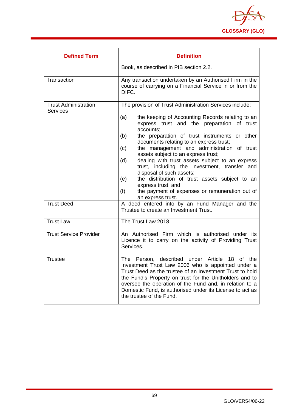

| <b>Defined Term</b>                            | <b>Definition</b>                                                                                                                                                                                                                                                                                                                                                                                                                                                                                                                                                                                                                                                                |
|------------------------------------------------|----------------------------------------------------------------------------------------------------------------------------------------------------------------------------------------------------------------------------------------------------------------------------------------------------------------------------------------------------------------------------------------------------------------------------------------------------------------------------------------------------------------------------------------------------------------------------------------------------------------------------------------------------------------------------------|
|                                                | Book, as described in PIB section 2.2.                                                                                                                                                                                                                                                                                                                                                                                                                                                                                                                                                                                                                                           |
| Transaction                                    | Any transaction undertaken by an Authorised Firm in the<br>course of carrying on a Financial Service in or from the<br>DIFC.                                                                                                                                                                                                                                                                                                                                                                                                                                                                                                                                                     |
| <b>Trust Administration</b><br><b>Services</b> | The provision of Trust Administration Services include:<br>(a)<br>the keeping of Accounting Records relating to an<br>express trust and the preparation of trust<br>accounts;<br>the preparation of trust instruments or other<br>(b)<br>documents relating to an express trust;<br>the management and administration of trust<br>(c)<br>assets subject to an express trust;<br>dealing with trust assets subject to an express<br>(d)<br>trust, including the investment, transfer and<br>disposal of such assets;<br>the distribution of trust assets subject to an<br>(e)<br>express trust; and<br>(f)<br>the payment of expenses or remuneration out of<br>an express trust. |
| <b>Trust Deed</b>                              | A deed entered into by an Fund Manager and the<br>Trustee to create an Investment Trust.                                                                                                                                                                                                                                                                                                                                                                                                                                                                                                                                                                                         |
| <b>Trust Law</b>                               | The Trust Law 2018.                                                                                                                                                                                                                                                                                                                                                                                                                                                                                                                                                                                                                                                              |
| <b>Trust Service Provider</b>                  | An Authorised Firm which is authorised under its<br>Licence it to carry on the activity of Providing Trust<br>Services.                                                                                                                                                                                                                                                                                                                                                                                                                                                                                                                                                          |
| <b>Trustee</b>                                 | The Person, described under Article 18 of the<br>Investment Trust Law 2006 who is appointed under a<br>Trust Deed as the trustee of an Investment Trust to hold<br>the Fund's Property on trust for the Unitholders and to<br>oversee the operation of the Fund and, in relation to a<br>Domestic Fund, is authorised under its License to act as<br>the trustee of the Fund.                                                                                                                                                                                                                                                                                                    |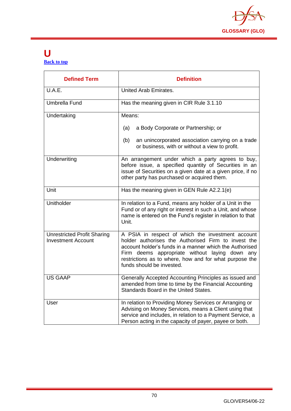

## **U [Back to top](#page-1-0)**

| <b>Defined Term</b>                                             | <b>Definition</b>                                                                                                                                                                                                                                                                                            |
|-----------------------------------------------------------------|--------------------------------------------------------------------------------------------------------------------------------------------------------------------------------------------------------------------------------------------------------------------------------------------------------------|
| U.A.E.                                                          | United Arab Emirates.                                                                                                                                                                                                                                                                                        |
| <b>Umbrella Fund</b>                                            | Has the meaning given in CIR Rule 3.1.10                                                                                                                                                                                                                                                                     |
| Undertaking                                                     | Means:                                                                                                                                                                                                                                                                                                       |
|                                                                 | a Body Corporate or Partnership; or<br>(a)                                                                                                                                                                                                                                                                   |
|                                                                 | (b)<br>an unincorporated association carrying on a trade<br>or business, with or without a view to profit.                                                                                                                                                                                                   |
| Underwriting                                                    | An arrangement under which a party agrees to buy,<br>before issue, a specified quantity of Securities in an<br>issue of Securities on a given date at a given price, if no<br>other party has purchased or acquired them.                                                                                    |
| Unit                                                            | Has the meaning given in GEN Rule A2.2.1(e)                                                                                                                                                                                                                                                                  |
| Unitholder                                                      | In relation to a Fund, means any holder of a Unit in the<br>Fund or of any right or interest in such a Unit, and whose<br>name is entered on the Fund's register in relation to that<br>Unit.                                                                                                                |
| <b>Unrestricted Profit Sharing</b><br><b>Investment Account</b> | A PSIA in respect of which the investment account<br>holder authorises the Authorised Firm to invest the<br>account holder's funds in a manner which the Authorised<br>Firm deems appropriate without laying down any<br>restrictions as to where, how and for what purpose the<br>funds should be invested. |
| <b>US GAAP</b>                                                  | Generally Accepted Accounting Principles as issued and<br>amended from time to time by the Financial Accounting<br>Standards Board in the United States.                                                                                                                                                     |
| User                                                            | In relation to Providing Money Services or Arranging or<br>Advising on Money Services, means a Client using that<br>service and includes, in relation to a Payment Service, a<br>Person acting in the capacity of payer, payee or both.                                                                      |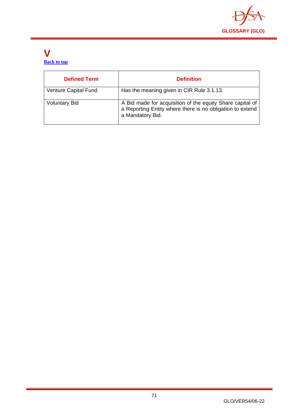

## **V [Back to top](#page-1-0)**

| <b>Defined Term</b>  | <b>Definition</b>                                                                                                                          |
|----------------------|--------------------------------------------------------------------------------------------------------------------------------------------|
| Venture Capital Fund | Has the meaning given in CIR Rule 3.1.13.                                                                                                  |
| <b>Voluntary Bid</b> | A Bid made for acquisition of the equity Share capital of<br>a Reporting Entity where there is no obligation to extend<br>a Mandatory Bid. |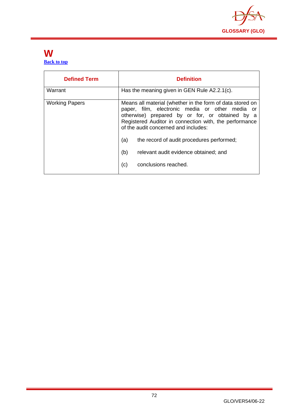

## **W [Back to top](#page-1-0)**

| <b>Defined Term</b>   | <b>Definition</b>                                                                                                                                                                                                                                                                                                                                                                                    |
|-----------------------|------------------------------------------------------------------------------------------------------------------------------------------------------------------------------------------------------------------------------------------------------------------------------------------------------------------------------------------------------------------------------------------------------|
| Warrant               | Has the meaning given in GEN Rule A2.2.1(c).                                                                                                                                                                                                                                                                                                                                                         |
| <b>Working Papers</b> | Means all material (whether in the form of data stored on<br>paper, film, electronic media or other media or<br>otherwise) prepared by or for, or obtained by a<br>Registered Auditor in connection with, the performance<br>of the audit concerned and includes:<br>(a)<br>the record of audit procedures performed;<br>(b)<br>relevant audit evidence obtained; and<br>(c)<br>conclusions reached. |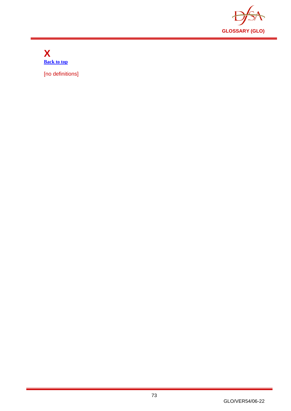

**X [Back to top](#page-1-0)**

[no definitions]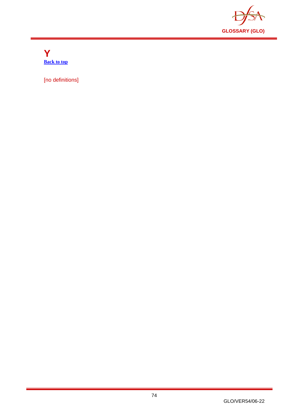

**Y [Back to top](#page-1-0)**

[no definitions]